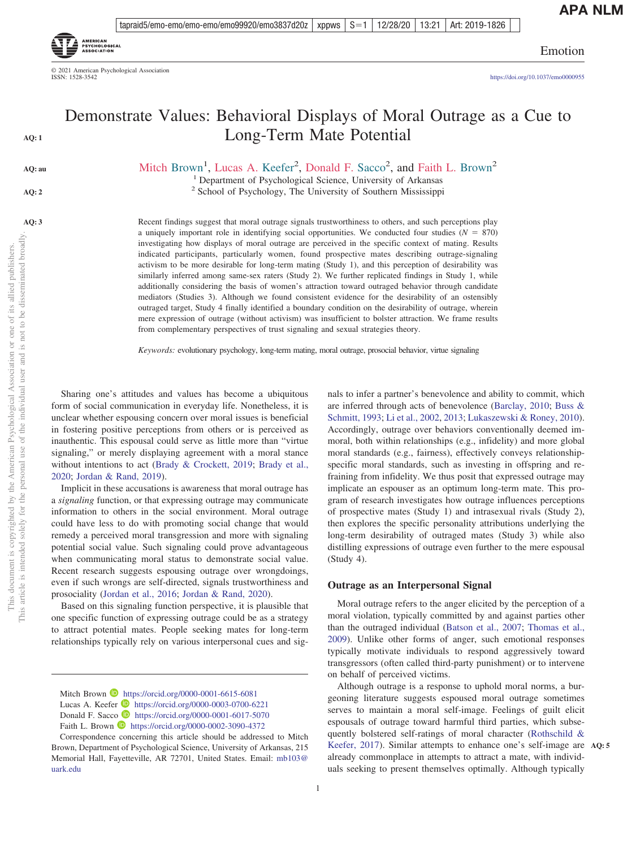tapraid5/emo-emo/emo-emo/emo99920/emo3837d20z | xppws  $\mid S=1$ 12/28/20 13:21 Art: 2019-1826



© 2021 American Psychological Association ISSN: 1528-3542

Emotion

https://doi.org[/10.1037/emo0000955](https://doi.org/10.1037/emo0000955)

# Demonstrate Values: Behavioral Displays of Moral Outrage as a Cue to Long-Term Mate Potential

Mitch Brown<sup>1</sup>, Lucas A. Keefer<sup>2</sup>, Donald F. Sacco<sup>2</sup>, and Faith L. Brown<sup>2</sup>

<sup>1</sup> Department of Psychological Science, University of Arkansas<sup>2</sup> School of Psychology, The University of Southern Mississippi

Recent findings suggest that moral outrage signals trustworthiness to others, and such perceptions play a uniquely important role in identifying social opportunities. We conducted four studies  $(N = 870)$ investigating how displays of moral outrage are perceived in the specific context of mating. Results indicated participants, particularly women, found prospective mates describing outrage-signaling activism to be more desirable for long-term mating (Study 1), and this perception of desirability was similarly inferred among same-sex raters (Study 2). We further replicated findings in Study 1, while additionally considering the basis of women's attraction toward outraged behavior through candidate mediators (Studies 3). Although we found consistent evidence for the desirability of an ostensibly outraged target, Study 4 finally identified a boundary condition on the desirability of outrage, wherein mere expression of outrage (without activism) was insufficient to bolster attraction. We frame results from complementary perspectives of trust signaling and sexual strategies theory.

*Keywords:* evolutionary psychology, long-term mating, moral outrage, prosocial behavior, virtue signaling

Sharing one's attitudes and values has become a ubiquitous form of social communication in everyday life. Nonetheless, it is unclear whether espousing concern over moral issues is beneficial in fostering positive perceptions from others or is perceived as inauthentic. This espousal could serve as little more than "virtue signaling," or merely displaying agreement with a moral stance without intentions to act [\(Brady & Crockett, 2019;](#page-12-0) [Brady et al.,](#page-12-1) [2020;](#page-12-1) [Jordan & Rand, 2019\)](#page-14-0).

Implicit in these accusations is awareness that moral outrage has a *signaling* function, or that expressing outrage may communicate information to others in the social environment. Moral outrage could have less to do with promoting social change that would remedy a perceived moral transgression and more with signaling potential social value. Such signaling could prove advantageous when communicating moral status to demonstrate social value. Recent research suggests espousing outrage over wrongdoings, even if such wrongs are self-directed, signals trustworthiness and prosociality [\(Jordan et al., 2016;](#page-13-0) [Jordan & Rand, 2020\)](#page-14-1).

Based on this signaling function perspective, it is plausible that one specific function of expressing outrage could be as a strategy to attract potential mates. People seeking mates for long-term relationships typically rely on various interpersonal cues and sig-

nals to infer a partner's benevolence and ability to commit, which are inferred through acts of benevolence [\(Barclay, 2010;](#page-12-2) [Buss &](#page-12-3) [Schmitt, 1993;](#page-12-3) [Li et al., 2002,](#page-14-2) [2013;](#page-14-3) [Lukaszewski & Roney, 2010\)](#page-14-4). Accordingly, outrage over behaviors conventionally deemed immoral, both within relationships (e.g., infidelity) and more global moral standards (e.g., fairness), effectively conveys relationshipspecific moral standards, such as investing in offspring and refraining from infidelity. We thus posit that expressed outrage may implicate an espouser as an optimum long-term mate. This program of research investigates how outrage influences perceptions of prospective mates (Study 1) and intrasexual rivals (Study 2), then explores the specific personality attributions underlying the long-term desirability of outraged mates (Study 3) while also distilling expressions of outrage even further to the mere espousal (Study 4).

# **Outrage as an Interpersonal Signal**

Moral outrage refers to the anger elicited by the perception of a moral violation, typically committed by and against parties other than the outraged individual [\(Batson et al., 2007;](#page-12-4) [Thomas et al.,](#page-15-0) [2009\)](#page-15-0). Unlike other forms of anger, such emotional responses typically motivate individuals to respond aggressively toward transgressors (often called third-party punishment) or to intervene on behalf of perceived victims.

Although outrage is a response to uphold moral norms, a burgeoning literature suggests espoused moral outrage sometimes serves to maintain a moral self-image. Feelings of guilt elicit espousals of outrage toward harmful third parties, which subsequently bolstered self-ratings of moral character [\(Rothschild &](#page-14-5) [Keefer, 2017\)](#page-14-5). Similar attempts to enhance one's self-image are **AQ: 5** already commonplace in attempts to attract a mate, with individuals seeking to present themselves optimally. Although typically

**AQ: 1**

**AQ: au**

**AQ: 2**

1

Mitch Brown **D** https://orcid.org/0000-0001-6615-6081 Lucas A. Keefer  $\bullet$  https://orcid.org/0000-0003-0700-6221 Donald F. Sacco **I** https://orcid.org/0000-0001-6017-5070 Faith L. Brown **D** https://orcid.org/0000-0002-3090-4372

Correspondence concerning this article should be addressed to Mitch Brown, Department of Psychological Science, University of Arkansas, 215 Memorial Hall, Fayetteville, AR 72701, United States. Email: [mb103@](mailto:mb103@uark.edu) [uark.edu](mailto:mb103@uark.edu)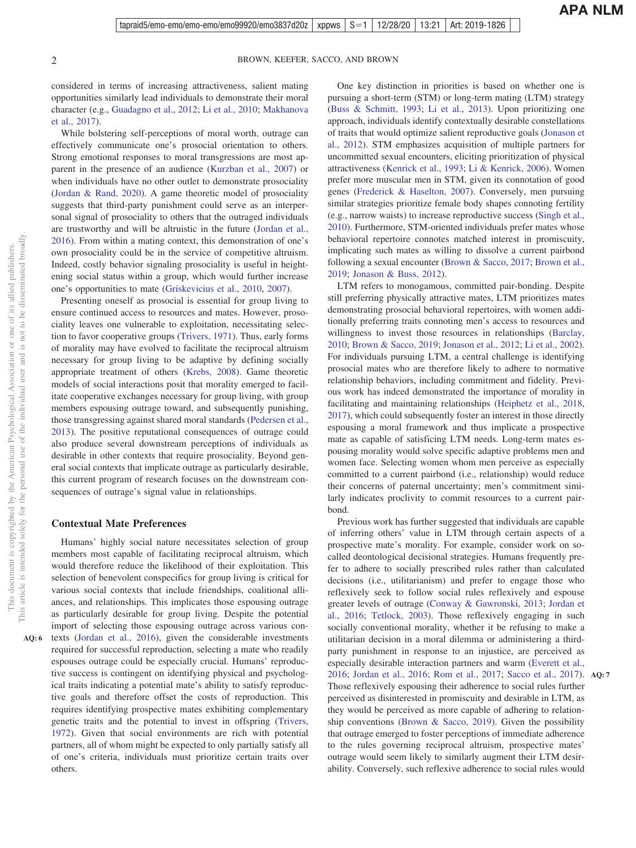considered in terms of increasing attractiveness, salient mating opportunities similarly lead individuals to demonstrate their moral character (e.g., [Guadagno et al., 2012;](#page-13-1) [Li et al., 2010;](#page-14-6) [Makhanova](#page-14-7) [et al., 2017\)](#page-14-7).

While bolstering self-perceptions of moral worth, outrage can effectively communicate one's prosocial orientation to others. Strong emotional responses to moral transgressions are most apparent in the presence of an audience [\(Kurzban et al., 2007\)](#page-14-8) or when individuals have no other outlet to demonstrate prosociality [\(Jordan & Rand, 2020\)](#page-14-1). A game theoretic model of prosociality suggests that third-party punishment could serve as an interpersonal signal of prosociality to others that the outraged individuals are trustworthy and will be altruistic in the future [\(Jordan et al.,](#page-13-2) [2016\)](#page-13-2). From within a mating context, this demonstration of one's own prosociality could be in the service of competitive altruism. Indeed, costly behavior signaling prosociality is useful in heightening social status within a group, which would further increase one's opportunities to mate [\(Griskevicius et al., 2010,](#page-13-3) [2007\)](#page-13-4).

Presenting oneself as prosocial is essential for group living to ensure continued access to resources and mates. However, prosociality leaves one vulnerable to exploitation, necessitating selection to favor cooperative groups [\(Trivers, 1971\)](#page-15-1). Thus, early forms of morality may have evolved to facilitate the reciprocal altruism necessary for group living to be adaptive by defining socially appropriate treatment of others [\(Krebs, 2008\)](#page-14-9). Game theoretic models of social interactions posit that morality emerged to facilitate cooperative exchanges necessary for group living, with group members espousing outrage toward, and subsequently punishing, those transgressing against shared moral standards [\(Pedersen et al.,](#page-14-10) [2013\)](#page-14-10). The positive reputational consequences of outrage could also produce several downstream perceptions of individuals as desirable in other contexts that require prosociality. Beyond general social contexts that implicate outrage as particularly desirable, this current program of research focuses on the downstream consequences of outrage's signal value in relationships.

#### **Contextual Mate Preferences**

Humans' highly social nature necessitates selection of group members most capable of facilitating reciprocal altruism, which would therefore reduce the likelihood of their exploitation. This selection of benevolent conspecifics for group living is critical for various social contexts that include friendships, coalitional alliances, and relationships. This implicates those espousing outrage as particularly desirable for group living. Despite the potential import of selecting those espousing outrage across various contexts [\(Jordan et al., 2016\)](#page-13-5), given the considerable investments required for successful reproduction, selecting a mate who readily espouses outrage could be especially crucial. Humans' reproductive success is contingent on identifying physical and psychological traits indicating a potential mate's ability to satisfy reproductive goals and therefore offset the costs of reproduction. This requires identifying prospective mates exhibiting complementary genetic traits and the potential to invest in offspring [\(Trivers,](#page-15-2) [1972\)](#page-15-2). Given that social environments are rich with potential partners, all of whom might be expected to only partially satisfy all of one's criteria, individuals must prioritize certain traits over others.

One key distinction in priorities is based on whether one is pursuing a short-term (STM) or long-term mating (LTM) strategy [\(Buss & Schmitt, 1993;](#page-12-3) [Li et al., 2013\)](#page-14-3). Upon prioritizing one approach, individuals identify contextually desirable constellations of traits that would optimize salient reproductive goals [\(Jonason et](#page-13-6) [al., 2012\)](#page-13-6). STM emphasizes acquisition of multiple partners for uncommitted sexual encounters, eliciting prioritization of physical attractiveness [\(Kenrick et al., 1993;](#page-14-11) [Li & Kenrick, 2006\)](#page-14-12). Women prefer more muscular men in STM, given its connotation of good genes [\(Frederick & Haselton, 2007\)](#page-13-7). Conversely, men pursuing similar strategies prioritize female body shapes connoting fertility (e.g., narrow waists) to increase reproductive success [\(Singh et al.,](#page-15-3) [2010\)](#page-15-3). Furthermore, STM-oriented individuals prefer mates whose behavioral repertoire connotes matched interest in promiscuity, implicating such mates as willing to dissolve a current pairbond following a sexual encounter [\(Brown & Sacco, 2017;](#page-12-5) [Brown et al.,](#page-12-6) [2019;](#page-12-6) [Jonason & Buss, 2012\)](#page-13-8).

LTM refers to monogamous, committed pair-bonding. Despite still preferring physically attractive mates, LTM prioritizes mates demonstrating prosocial behavioral repertoires, with women additionally preferring traits connoting men's access to resources and willingness to invest those resources in relationships [\(Barclay,](#page-12-2) [2010;](#page-12-2) [Brown & Sacco, 2019;](#page-12-7) [Jonason et al., 2012;](#page-13-9) [Li et al., 2002\)](#page-14-2). For individuals pursuing LTM, a central challenge is identifying prosocial mates who are therefore likely to adhere to normative relationship behaviors, including commitment and fidelity. Previous work has indeed demonstrated the importance of morality in facilitating and maintaining relationships [\(Heiphetz et al., 2018,](#page-13-10) [2017\)](#page-13-11), which could subsequently foster an interest in those directly espousing a moral framework and thus implicate a prospective mate as capable of satisficing LTM needs. Long-term mates espousing morality would solve specific adaptive problems men and women face. Selecting women whom men perceive as especially committed to a current pairbond (i.e., relationship) would reduce their concerns of paternal uncertainty; men's commitment similarly indicates proclivity to commit resources to a current pairbond.

Previous work has further suggested that individuals are capable of inferring others' value in LTM through certain aspects of a prospective mate's morality. For example, consider work on socalled deontological decisional strategies. Humans frequently prefer to adhere to socially prescribed rules rather than calculated decisions (i.e., utilitarianism) and prefer to engage those who reflexively seek to follow social rules reflexively and espouse greater levels of outrage [\(Conway & Gawronski, 2013;](#page-13-12) [Jordan et](#page-13-5) [al., 2016;](#page-13-5) [Tetlock, 2003\)](#page-15-4). Those reflexively engaging in such socially conventional morality, whether it be refusing to make a utilitarian decision in a moral dilemma or administering a thirdparty punishment in response to an injustice, are perceived as especially desirable interaction partners and warm [\(Everett et al.,](#page-13-13) [2016;](#page-13-13) [Jordan et al., 2016;](#page-13-0) [Rom et al., 2017;](#page-14-13) [Sacco et al., 2017\)](#page-14-14). **AQ: 7** Those reflexively espousing their adherence to social rules further perceived as disinterested in promiscuity and desirable in LTM, as they would be perceived as more capable of adhering to relationship conventions [\(Brown & Sacco, 2019\)](#page-12-7). Given the possibility that outrage emerged to foster perceptions of immediate adherence to the rules governing reciprocal altruism, prospective mates' outrage would seem likely to similarly augment their LTM desirability. Conversely, such reflexive adherence to social rules would

**AQ: 6**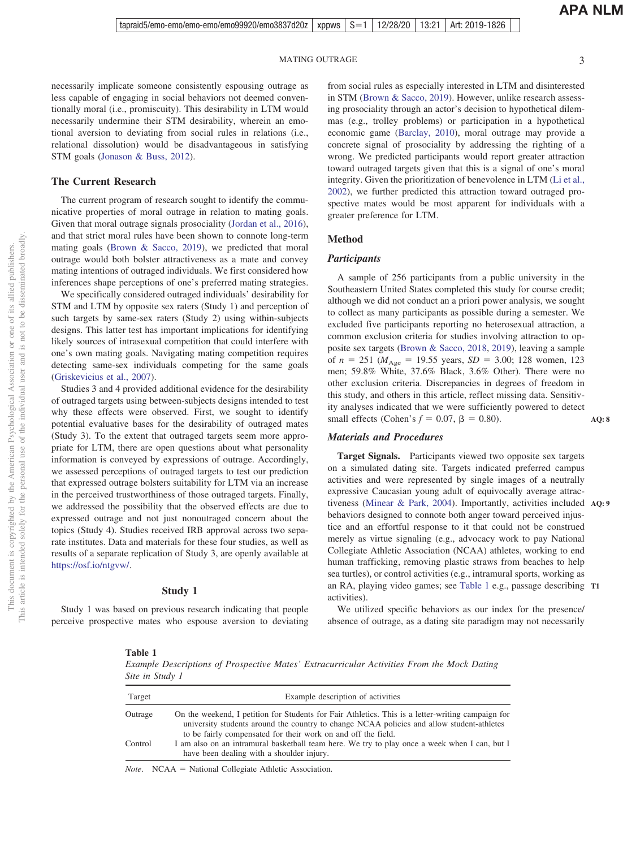**AQ: 8**

necessarily implicate someone consistently espousing outrage as less capable of engaging in social behaviors not deemed conventionally moral (i.e., promiscuity). This desirability in LTM would necessarily undermine their STM desirability, wherein an emotional aversion to deviating from social rules in relations (i.e., relational dissolution) would be disadvantageous in satisfying STM goals [\(Jonason & Buss, 2012\)](#page-13-8).

#### **The Current Research**

The current program of research sought to identify the communicative properties of moral outrage in relation to mating goals. Given that moral outrage signals prosociality [\(Jordan et al., 2016\)](#page-13-0), and that strict moral rules have been shown to connote long-term mating goals [\(Brown & Sacco, 2019\)](#page-12-7), we predicted that moral outrage would both bolster attractiveness as a mate and convey mating intentions of outraged individuals. We first considered how inferences shape perceptions of one's preferred mating strategies.

We specifically considered outraged individuals' desirability for STM and LTM by opposite sex raters (Study 1) and perception of such targets by same-sex raters (Study 2) using within-subjects designs. This latter test has important implications for identifying likely sources of intrasexual competition that could interfere with one's own mating goals. Navigating mating competition requires detecting same-sex individuals competing for the same goals [\(Griskevicius et al., 2007\)](#page-13-4).

Studies 3 and 4 provided additional evidence for the desirability of outraged targets using between-subjects designs intended to test why these effects were observed. First, we sought to identify potential evaluative bases for the desirability of outraged mates (Study 3). To the extent that outraged targets seem more appropriate for LTM, there are open questions about what personality information is conveyed by expressions of outrage. Accordingly, we assessed perceptions of outraged targets to test our prediction that expressed outrage bolsters suitability for LTM via an increase in the perceived trustworthiness of those outraged targets. Finally, we addressed the possibility that the observed effects are due to expressed outrage and not just nonoutraged concern about the topics (Study 4). Studies received IRB approval across two separate institutes. Data and materials for these four studies, as well as results of a separate replication of Study 3, are openly available at [https://osf.io/ntgvw/.](https://osf.io/ntgvw/)

#### **Study 1**

Study 1 was based on previous research indicating that people perceive prospective mates who espouse aversion to deviating

from social rules as especially interested in LTM and disinterested in STM [\(Brown & Sacco, 2019\)](#page-12-7). However, unlike research assessing prosociality through an actor's decision to hypothetical dilemmas (e.g., trolley problems) or participation in a hypothetical economic game [\(Barclay, 2010\)](#page-12-2), moral outrage may provide a concrete signal of prosociality by addressing the righting of a wrong. We predicted participants would report greater attraction toward outraged targets given that this is a signal of one's moral integrity. Given the prioritization of benevolence in LTM [\(Li et al.,](#page-14-2) [2002\)](#page-14-2), we further predicted this attraction toward outraged prospective mates would be most apparent for individuals with a greater preference for LTM.

# **Method**

#### *Participants*

A sample of 256 participants from a public university in the Southeastern United States completed this study for course credit; although we did not conduct an a priori power analysis, we sought to collect as many participants as possible during a semester. We excluded five participants reporting no heterosexual attraction, a common exclusion criteria for studies involving attraction to opposite sex targets [\(Brown & Sacco, 2018,](#page-12-8) [2019\)](#page-12-7), leaving a sample of  $n = 251$  ( $M_{\text{Age}} = 19.55$  years,  $SD = 3.00$ ; 128 women, 123 men; 59.8% White, 37.6% Black, 3.6% Other). There were no other exclusion criteria. Discrepancies in degrees of freedom in this study, and others in this article, reflect missing data. Sensitivity analyses indicated that we were sufficiently powered to detect small effects (Cohen's  $f = 0.07$ ,  $\beta = 0.80$ ).

#### *Materials and Procedures*

**Target Signals.** Participants viewed two opposite sex targets on a simulated dating site. Targets indicated preferred campus activities and were represented by single images of a neutrally expressive Caucasian young adult of equivocally average attractiveness [\(Minear & Park, 2004\)](#page-14-15). Importantly, activities included **AQ: 9** behaviors designed to connote both anger toward perceived injustice and an effortful response to it that could not be construed merely as virtue signaling (e.g., advocacy work to pay National Collegiate Athletic Association (NCAA) athletes, working to end human trafficking, removing plastic straws from beaches to help sea turtles), or control activities (e.g., intramural sports, working as an RA, playing video games; see [Table 1](#page-2-0) e.g., passage describing activities). **T1**

We utilized specific behaviors as our index for the presence/ absence of outrage, as a dating site paradigm may not necessarily

#### <span id="page-2-0"></span>**Table 1**

*Example Descriptions of Prospective Mates' Extracurricular Activities From the Mock Dating Site in Study 1*

| Target  | Example description of activities                                                                                                                                                                                                                               |
|---------|-----------------------------------------------------------------------------------------------------------------------------------------------------------------------------------------------------------------------------------------------------------------|
| Outrage | On the weekend, I petition for Students for Fair Athletics. This is a letter-writing campaign for<br>university students around the country to change NCAA policies and allow student-athletes<br>to be fairly compensated for their work on and off the field. |
| Control | I am also on an intramural basketball team here. We try to play once a week when I can, but I<br>have been dealing with a shoulder injury.                                                                                                                      |

*Note*. NCAA = National Collegiate Athletic Association.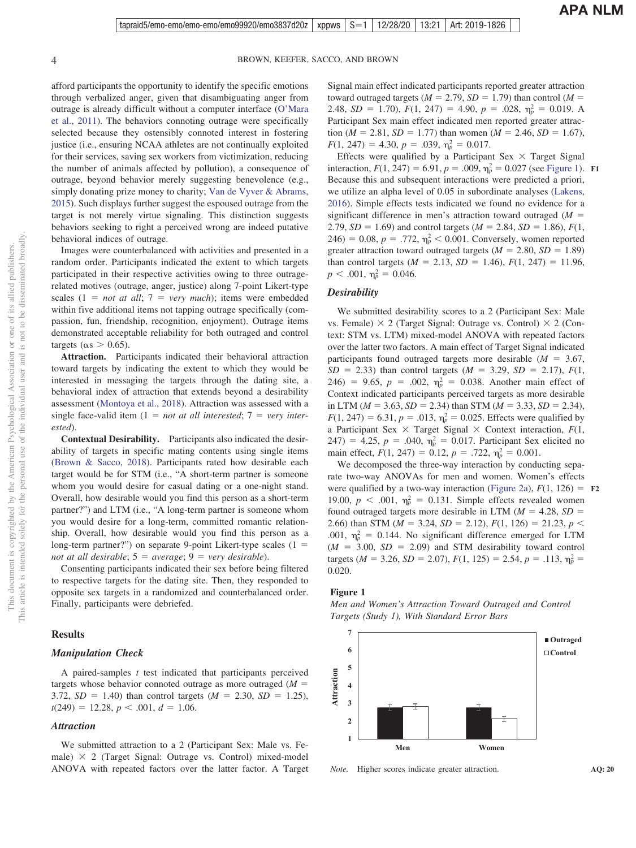afford participants the opportunity to identify the specific emotions through verbalized anger, given that disambiguating anger from outrage is already difficult without a computer interface [\(O'Mara](#page-14-16) [et al., 2011\)](#page-14-16). The behaviors connoting outrage were specifically selected because they ostensibly connoted interest in fostering justice (i.e., ensuring NCAA athletes are not continually exploited for their services, saving sex workers from victimization, reducing the number of animals affected by pollution), a consequence of outrage, beyond behavior merely suggesting benevolence (e.g., simply donating prize money to charity; [Van de Vyver & Abrams,](#page-15-5) [2015\)](#page-15-5). Such displays further suggest the espoused outrage from the target is not merely virtue signaling. This distinction suggests behaviors seeking to right a perceived wrong are indeed putative behavioral indices of outrage.

Images were counterbalanced with activities and presented in a random order. Participants indicated the extent to which targets participated in their respective activities owing to three outragerelated motives (outrage, anger, justice) along 7-point Likert-type scales  $(1 = not at all; 7 = very much)$ ; items were embedded within five additional items not tapping outrage specifically (compassion, fun, friendship, recognition, enjoyment). Outrage items demonstrated acceptable reliability for both outraged and control targets ( $\alpha$ s > 0.65).

**Attraction.** Participants indicated their behavioral attraction toward targets by indicating the extent to which they would be interested in messaging the targets through the dating site, a behavioral index of attraction that extends beyond a desirability assessment [\(Montoya et al., 2018\)](#page-14-17). Attraction was assessed with a  $\text{single face-valid item } (1 = \text{not at all interested; } 7 = \text{very inter-}$ *ested*).

**Contextual Desirability.** Participants also indicated the desirability of targets in specific mating contents using single items [\(Brown & Sacco, 2018\)](#page-12-8). Participants rated how desirable each target would be for STM (i.e., "A short-term partner is someone whom you would desire for casual dating or a one-night stand. Overall, how desirable would you find this person as a short-term partner?") and LTM (i.e., "A long-term partner is someone whom you would desire for a long-term, committed romantic relationship. Overall, how desirable would you find this person as a long-term partner?") on separate 9-point Likert-type scales  $(1 =$ *not at all desirable*;  $5 = average$ ;  $9 = very desirable$ ).

Consenting participants indicated their sex before being filtered to respective targets for the dating site. Then, they responded to opposite sex targets in a randomized and counterbalanced order. Finally, participants were debriefed.

#### **Results**

#### *Manipulation Check*

A paired-samples *t* test indicated that participants perceived targets whose behavior connoted outrage as more outraged  $(M =$ 3.72,  $SD = 1.40$ ) than control targets ( $M = 2.30$ ,  $SD = 1.25$ ),  $t(249) = 12.28, p < .001, d = 1.06.$ 

#### *Attraction*

We submitted attraction to a 2 (Participant Sex: Male vs. Female)  $\times$  2 (Target Signal: Outrage vs. Control) mixed-model ANOVA with repeated factors over the latter factor. A Target Signal main effect indicated participants reported greater attraction toward outraged targets ( $M = 2.79$ ,  $SD = 1.79$ ) than control ( $M =$ 2.48,  $SD = 1.70$ ,  $F(1, 247) = 4.90$ ,  $p = .028$ ,  $\eta_p^2 = 0.019$ . A Participant Sex main effect indicated men reported greater attraction ( $M = 2.81$ ,  $SD = 1.77$ ) than women ( $M = 2.46$ ,  $SD = 1.67$ ),  $F(1, 247) = 4.30, p = .039, \eta_p^2 = 0.017.$ 

Effects were qualified by a Participant Sex  $\times$  Target Signal interaction,  $F(1, 247) = 6.91$ ,  $p = .009$ ,  $\eta_p^2 = 0.027$  (see [Figure 1\)](#page-3-0). Because this and subsequent interactions were predicted a priori, we utilize an alpha level of 0.05 in subordinate analyses [\(Lakens,](#page-14-18) [2016\)](#page-14-18). Simple effects tests indicated we found no evidence for a significant difference in men's attraction toward outraged  $(M =$ 2.79,  $SD = 1.69$ ) and control targets ( $M = 2.84$ ,  $SD = 1.86$ ),  $F(1, 1)$  $246$ ) = 0.08,  $p = .772$ ,  $\eta_p^2 < 0.001$ . Conversely, women reported greater attraction toward outraged targets  $(M = 2.80, SD = 1.89)$ than control targets  $(M = 2.13, SD = 1.46), F(1, 247) = 11.96$ ,  $p < .001$ ,  $\eta_p^2 = 0.046$ . **F1**

#### *Desirability*

We submitted desirability scores to a 2 (Participant Sex: Male vs. Female)  $\times$  2 (Target Signal: Outrage vs. Control)  $\times$  2 (Context: STM vs. LTM) mixed-model ANOVA with repeated factors over the latter two factors. A main effect of Target Signal indicated participants found outraged targets more desirable  $(M = 3.67,$  $SD = 2.33$ ) than control targets ( $M = 3.29$ ,  $SD = 2.17$ ),  $F(1, 1)$ 246) = 9.65,  $p = .002$ ,  $\eta_p^2 = 0.038$ . Another main effect of Context indicated participants perceived targets as more desirable in LTM ( $M = 3.63$ ,  $SD = 2.34$ ) than STM ( $M = 3.33$ ,  $SD = 2.34$ ),  $F(1, 247) = 6.31, p = .013, \eta_p^2 = 0.025$ . Effects were qualified by a Participant Sex  $\times$  Target Signal  $\times$  Context interaction,  $F(1,$  $(247) = 4.25, p = .040, \eta_p^2 = 0.017$ . Participant Sex elicited no main effect,  $F(1, 247) = 0.12$ ,  $p = .722$ ,  $\eta_p^2 = 0.001$ .

We decomposed the three-way interaction by conducting separate two-way ANOVAs for men and women. Women's effects were qualified by a two-way interaction [\(Figure 2a\)](#page-4-0),  $F(1, 126) = F2$ 19.00,  $p < .001$ ,  $\eta_p^2 = 0.131$ . Simple effects revealed women found outraged targets more desirable in LTM ( $M = 4.28$ ,  $SD =$ 2.66) than STM ( $M = 3.24$ ,  $SD = 2.12$ ),  $F(1, 126) = 21.23$ ,  $p <$ .001,  $\eta_p^2 = 0.144$ . No significant difference emerged for LTM  $(M = 3.00, SD = 2.09)$  and STM desirability toward control targets ( $M = 3.26$ ,  $SD = 2.07$ ),  $F(1, 125) = 2.54$ ,  $p = .113$ ,  $\eta_p^2 =$ 0.020.

#### <span id="page-3-0"></span>**Figure 1**

*Men and Women's Attraction Toward Outraged and Control Targets (Study 1), With Standard Error Bars*



*Note.* Higher scores indicate greater attraction.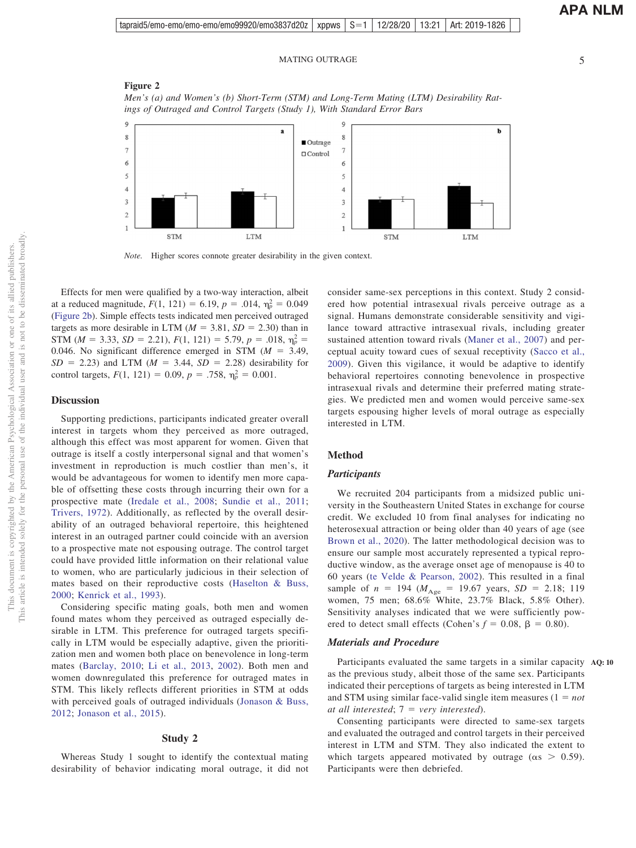<span id="page-4-0"></span>**Figure 2** *Men's (a) and Women's (b) Short-Term (STM) and Long-Term Mating (LTM) Desirability Ratings of Outraged and Control Targets (Study 1), With Standard Error Bars*



*Note.* Higher scores connote greater desirability in the given context.

Effects for men were qualified by a two-way interaction, albeit at a reduced magnitude,  $F(1, 121) = 6.19$ ,  $p = .014$ ,  $\eta_p^2 = 0.049$ [\(Figure 2b\)](#page-4-0). Simple effects tests indicated men perceived outraged targets as more desirable in LTM  $(M = 3.81, SD = 2.30)$  than in STM ( $M = 3.33$ ,  $SD = 2.21$ ),  $F(1, 121) = 5.79$ ,  $p = .018$ ,  $\eta_p^2 =$ 0.046. No significant difference emerged in STM  $(M = 3.49,$  $SD = 2.23$ ) and LTM ( $M = 3.44$ ,  $SD = 2.28$ ) desirability for control targets,  $F(1, 121) = 0.09$ ,  $p = .758$ ,  $\eta_p^2 = 0.001$ .

#### **Discussion**

Supporting predictions, participants indicated greater overall interest in targets whom they perceived as more outraged, although this effect was most apparent for women. Given that outrage is itself a costly interpersonal signal and that women's investment in reproduction is much costlier than men's, it would be advantageous for women to identify men more capable of offsetting these costs through incurring their own for a prospective mate [\(Iredale et al., 2008;](#page-13-14) [Sundie et al., 2011;](#page-15-6) [Trivers, 1972\)](#page-15-2). Additionally, as reflected by the overall desirability of an outraged behavioral repertoire, this heightened interest in an outraged partner could coincide with an aversion to a prospective mate not espousing outrage. The control target could have provided little information on their relational value to women, who are particularly judicious in their selection of mates based on their reproductive costs [\(Haselton & Buss,](#page-13-15) [2000;](#page-13-15) [Kenrick et al., 1993\)](#page-14-11).

Considering specific mating goals, both men and women found mates whom they perceived as outraged especially desirable in LTM. This preference for outraged targets specifically in LTM would be especially adaptive, given the prioritization men and women both place on benevolence in long-term mates [\(Barclay, 2010;](#page-12-2) [Li et al., 2013,](#page-14-3) [2002\)](#page-14-2). Both men and women downregulated this preference for outraged mates in STM. This likely reflects different priorities in STM at odds with perceived goals of outraged individuals [\(Jonason & Buss,](#page-13-8) [2012;](#page-13-8) [Jonason et al., 2015\)](#page-13-16).

#### **Study 2**

Whereas Study 1 sought to identify the contextual mating desirability of behavior indicating moral outrage, it did not consider same-sex perceptions in this context. Study 2 considered how potential intrasexual rivals perceive outrage as a signal. Humans demonstrate considerable sensitivity and vigilance toward attractive intrasexual rivals, including greater sustained attention toward rivals [\(Maner et al., 2007\)](#page-14-19) and perceptual acuity toward cues of sexual receptivity [\(Sacco et al.,](#page-14-20) [2009\)](#page-14-20). Given this vigilance, it would be adaptive to identify behavioral repertoires connoting benevolence in prospective intrasexual rivals and determine their preferred mating strategies. We predicted men and women would perceive same-sex targets espousing higher levels of moral outrage as especially interested in LTM.

# **Method**

#### *Participants*

We recruited 204 participants from a midsized public university in the Southeastern United States in exchange for course credit. We excluded 10 from final analyses for indicating no heterosexual attraction or being older than 40 years of age (see [Brown et al., 2020\)](#page-12-9). The latter methodological decision was to ensure our sample most accurately represented a typical reproductive window, as the average onset age of menopause is 40 to 60 years [\(te Velde & Pearson, 2002\)](#page-15-7). This resulted in a final sample of  $n = 194$  ( $M_{\text{Age}} = 19.67$  years,  $SD = 2.18$ ; 119 women, 75 men; 68.6% White, 23.7% Black, 5.8% Other). Sensitivity analyses indicated that we were sufficiently powered to detect small effects (Cohen's  $f = 0.08$ ,  $\beta = 0.80$ ).

#### *Materials and Procedure*

Participants evaluated the same targets in a similar capacity **AQ: 10** as the previous study, albeit those of the same sex. Participants indicated their perceptions of targets as being interested in LTM and STM using similar face-valid single item measures  $(1 = not$ *at all interested*; 7 - *very interested*).

Consenting participants were directed to same-sex targets and evaluated the outraged and control targets in their perceived interest in LTM and STM. They also indicated the extent to which targets appeared motivated by outrage ( $\alpha s > 0.59$ ). Participants were then debriefed.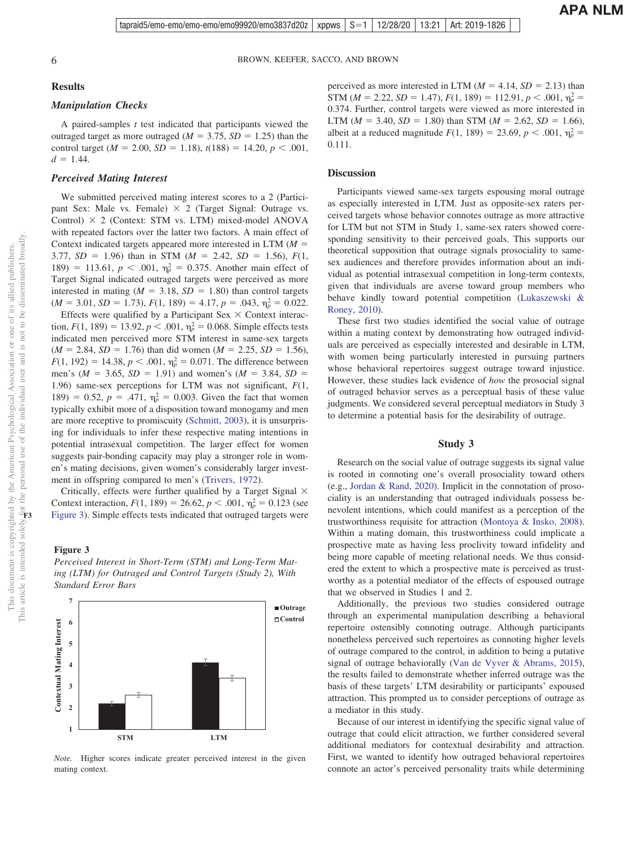# **Results**

# *Manipulation Checks*

A paired-samples *t* test indicated that participants viewed the outraged target as more outraged  $(M = 3.75, SD = 1.25)$  than the control target ( $M = 2.00$ ,  $SD = 1.18$ ),  $t(188) = 14.20$ ,  $p < .001$ ,  $d = 1.44$ .

#### *Perceived Mating Interest*

We submitted perceived mating interest scores to a 2 (Participant Sex: Male vs. Female)  $\times$  2 (Target Signal: Outrage vs. Control)  $\times$  2 (Context: STM vs. LTM) mixed-model ANOVA with repeated factors over the latter two factors. A main effect of Context indicated targets appeared more interested in LTM  $(M =$ 3.77,  $SD = 1.96$ ) than in STM ( $M = 2.42$ ,  $SD = 1.56$ ),  $F(1, 1)$ 189) = 113.61,  $p < .001$ ,  $\eta_p^2 = 0.375$ . Another main effect of Target Signal indicated outraged targets were perceived as more interested in mating  $(M = 3.18, SD = 1.80)$  than control targets  $(M = 3.01, SD = 1.73), F(1, 189) = 4.17, p = .043, \eta_p^2 = 0.022.$ 

Effects were qualified by a Participant Sex  $\times$  Context interaction,  $F(1, 189) = 13.92$ ,  $p < .001$ ,  $\eta_p^2 = 0.068$ . Simple effects tests indicated men perceived more STM interest in same-sex targets  $(M = 2.84, SD = 1.76)$  than did women  $(M = 2.25, SD = 1.56)$ ,  $F(1, 192) = 14.38, p < .001, \eta_p^2 = 0.071$ . The difference between men's ( $M = 3.65$ ,  $SD = 1.91$ ) and women's ( $M = 3.84$ ,  $SD =$ 1.96) same-sex perceptions for LTM was not significant, *F*(1, 189) = 0.52,  $p = .471$ ,  $\eta_p^2 = 0.003$ . Given the fact that women typically exhibit more of a disposition toward monogamy and men are more receptive to promiscuity [\(Schmitt, 2003\)](#page-14-21), it is unsurprising for individuals to infer these respective mating intentions in potential intrasexual competition. The larger effect for women suggests pair-bonding capacity may play a stronger role in women's mating decisions, given women's considerably larger investment in offspring compared to men's [\(Trivers, 1972\)](#page-15-2).

Critically, effects were further qualified by a Target Signal  $\times$ Context interaction,  $F(1, 189) = 26.62$ ,  $p < .001$ ,  $\eta_p^2 = 0.123$  (see [Figure 3\)](#page-5-0). Simple effects tests indicated that outraged targets were

#### <span id="page-5-0"></span>**Figure 3**

*Perceived Interest in Short-Term (STM) and Long-Term Mating (LTM) for Outraged and Control Targets (Study 2), With Standard Error Bars*



*Note.* Higher scores indicate greater perceived interest in the given mating context.

perceived as more interested in LTM  $(M = 4.14, SD = 2.13)$  than STM ( $M = 2.22$ ,  $SD = 1.47$ ),  $F(1, 189) = 112.91$ ,  $p < .001$ ,  $\eta_p^2 =$ 0.374. Further, control targets were viewed as more interested in LTM ( $M = 3.40$ ,  $SD = 1.80$ ) than STM ( $M = 2.62$ ,  $SD = 1.66$ ), albeit at a reduced magnitude  $F(1, 189) = 23.69, p < .001, \eta_p^2 =$ 0.111.

## **Discussion**

Participants viewed same-sex targets espousing moral outrage as especially interested in LTM. Just as opposite-sex raters perceived targets whose behavior connotes outrage as more attractive for LTM but not STM in Study 1, same-sex raters showed corresponding sensitivity to their perceived goals. This supports our theoretical supposition that outrage signals prosociality to samesex audiences and therefore provides information about an individual as potential intrasexual competition in long-term contexts, given that individuals are averse toward group members who behave kindly toward potential competition [\(Lukaszewski &](#page-14-4) [Roney, 2010\)](#page-14-4).

These first two studies identified the social value of outrage within a mating context by demonstrating how outraged individuals are perceived as especially interested and desirable in LTM, with women being particularly interested in pursuing partners whose behavioral repertoires suggest outrage toward injustice. However, these studies lack evidence of *how* the prosocial signal of outraged behavior serves as a perceptual basis of these value judgments. We considered several perceptual mediators in Study 3 to determine a potential basis for the desirability of outrage.

#### **Study 3**

Research on the social value of outrage suggests its signal value is rooted in connoting one's overall prosociality toward others (e.g., [Jordan & Rand, 2020\)](#page-14-1). Implicit in the connotation of prosociality is an understanding that outraged individuals possess benevolent intentions, which could manifest as a perception of the trustworthiness requisite for attraction [\(Montoya & Insko, 2008\)](#page-14-22). Within a mating domain, this trustworthiness could implicate a prospective mate as having less proclivity toward infidelity and being more capable of meeting relational needs. We thus considered the extent to which a prospective mate is perceived as trustworthy as a potential mediator of the effects of espoused outrage that we observed in Studies 1 and 2.

Additionally, the previous two studies considered outrage through an experimental manipulation describing a behavioral repertoire ostensibly connoting outrage. Although participants nonetheless perceived such repertoires as connoting higher levels of outrage compared to the control, in addition to being a putative signal of outrage behaviorally [\(Van de Vyver & Abrams, 2015\)](#page-15-5), the results failed to demonstrate whether inferred outrage was the basis of these targets' LTM desirability or participants' espoused attraction. This prompted us to consider perceptions of outrage as a mediator in this study.

Because of our interest in identifying the specific signal value of outrage that could elicit attraction, we further considered several additional mediators for contextual desirability and attraction. First, we wanted to identify how outraged behavioral repertoires connote an actor's perceived personality traits while determining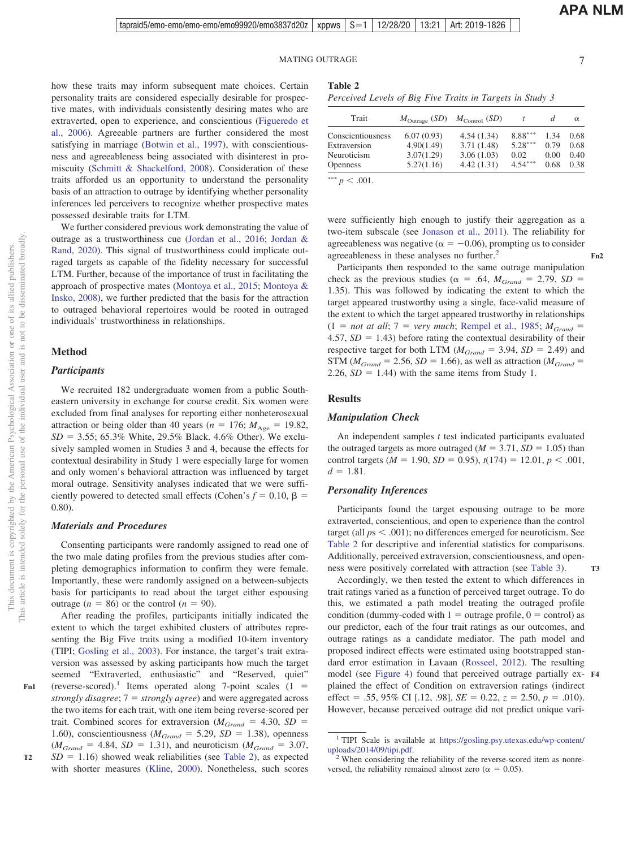**Fn2**

**T3**

how these traits may inform subsequent mate choices. Certain personality traits are considered especially desirable for prospective mates, with individuals consistently desiring mates who are extraverted, open to experience, and conscientious [\(Figueredo et](#page-13-17) [al., 2006\)](#page-13-17). Agreeable partners are further considered the most satisfying in marriage [\(Botwin et al., 1997\)](#page-12-10), with conscientiousness and agreeableness being associated with disinterest in promiscuity [\(Schmitt & Shackelford, 2008\)](#page-14-23). Consideration of these traits afforded us an opportunity to understand the personality basis of an attraction to outrage by identifying whether personality inferences led perceivers to recognize whether prospective mates possessed desirable traits for LTM.

We further considered previous work demonstrating the value of outrage as a trustworthiness cue [\(Jordan et al., 2016;](#page-13-0) [Jordan &](#page-14-1) [Rand, 2020\)](#page-14-1). This signal of trustworthiness could implicate outraged targets as capable of the fidelity necessary for successful LTM. Further, because of the importance of trust in facilitating the approach of prospective mates [\(Montoya et al., 2015;](#page-14-24) [Montoya &](#page-14-22) [Insko, 2008\)](#page-14-22), we further predicted that the basis for the attraction to outraged behavioral repertoires would be rooted in outraged individuals' trustworthiness in relationships.

#### **Method**

# *Participants*

We recruited 182 undergraduate women from a public Southeastern university in exchange for course credit. Six women were excluded from final analyses for reporting either nonheterosexual attraction or being older than 40 years ( $n = 176$ ;  $M_{\text{Age}} = 19.82$ ,  $SD = 3.55$ ; 65.3% White, 29.5% Black. 4.6% Other). We exclusively sampled women in Studies 3 and 4, because the effects for contextual desirability in Study 1 were especially large for women and only women's behavioral attraction was influenced by target moral outrage. Sensitivity analyses indicated that we were sufficiently powered to detected small effects (Cohen's  $f = 0.10$ ,  $\beta$  = 0.80).

#### *Materials and Procedures*

Consenting participants were randomly assigned to read one of the two male dating profiles from the previous studies after completing demographics information to confirm they were female. Importantly, these were randomly assigned on a between-subjects basis for participants to read about the target either espousing outrage  $(n = 86)$  or the control  $(n = 90)$ .

After reading the profiles, participants initially indicated the extent to which the target exhibited clusters of attributes representing the Big Five traits using a modified 10-item inventory (TIPI; [Gosling et al., 2003\)](#page-13-18). For instance, the target's trait extraversion was assessed by asking participants how much the target seemed "Extraverted, enthusiastic" and "Reserved, quiet" (reverse-scored).<sup>1</sup> Items operated along 7-point scales  $(1 =$ *strongly disagree*;  $7 =$  *strongly agree*) and were aggregated across the two items for each trait, with one item being reverse-scored per trait. Combined scores for extraversion ( $M_{Grand} = 4.30$ ,  $SD =$ 1.60), conscientiousness ( $M_{Grand} = 5.29$ ,  $SD = 1.38$ ), openness  $(M_{Grand} = 4.84, SD = 1.31)$ , and neuroticism  $(M_{Grand} = 3.07,$  $SD = 1.16$ ) showed weak reliabilities (see [Table 2\)](#page-6-0), as expected with shorter measures [\(Kline, 2000\)](#page-14-25). Nonetheless, such scores

<span id="page-6-0"></span>**Table 2**

| Perceived Levels of Big Five Traits in Targets in Study 3 |  |  |  |  |  |  |  |  |  |
|-----------------------------------------------------------|--|--|--|--|--|--|--|--|--|
|-----------------------------------------------------------|--|--|--|--|--|--|--|--|--|

| Trait             | $M_{\text{Outrage}}$ (SD) $M_{\text{Control}}$ (SD) |            |           |      | $\alpha$ |
|-------------------|-----------------------------------------------------|------------|-----------|------|----------|
| Conscientiousness | 6.07(0.93)                                          | 4.54(1.34) | $8.88***$ | 1.34 | 0.68     |
| Extraversion      | 4.90(1.49)                                          | 3.71(1.48) | $5.28***$ | 0.79 | 0.68     |
| Neuroticism       | 3.07(1.29)                                          | 3.06(1.03) | 0.02      | 0.00 | 0.40     |
| <b>Openness</b>   | 5.27(1.16)                                          | 4.42(1.31) | $4.54***$ | 0.68 | 0.38     |
|                   |                                                     |            |           |      |          |

\*\*\*  $p < .001$ .

were sufficiently high enough to justify their aggregation as a two-item subscale (see [Jonason et al., 2011\)](#page-13-19). The reliability for agreeableness was negative ( $\alpha = -0.06$ ), prompting us to consider agreeableness in these analyses no further.<sup>2</sup>

Participants then responded to the same outrage manipulation check as the previous studies ( $\alpha = .64$ ,  $M_{Grand} = 2.79$ ,  $SD =$ 1.35). This was followed by indicating the extent to which the target appeared trustworthy using a single, face-valid measure of the extent to which the target appeared trustworthy in relationships  $(1 = not at all; 7 = very much;$  [Rempel et al., 1985;](#page-14-26)  $M_{Grand} =$  $4.57, SD = 1.43$ ) before rating the contextual desirability of their respective target for both LTM ( $M_{Grand} = 3.94$ ,  $SD = 2.49$ ) and  $STM (M_{Grand} = 2.56, SD = 1.66)$ , as well as attraction ( $M_{Grand} =$  $2.26$ ,  $SD = 1.44$ ) with the same items from Study 1.

# **Results**

#### *Manipulation Check*

An independent samples *t* test indicated participants evaluated the outraged targets as more outraged  $(M = 3.71, SD = 1.05)$  than control targets ( $M = 1.90$ ,  $SD = 0.95$ ),  $t(174) = 12.01$ ,  $p < .001$ ,  $d = 1.81$ .

#### *Personality Inferences*

Participants found the target espousing outrage to be more extraverted, conscientious, and open to experience than the control target (all  $ps < .001$ ); no differences emerged for neuroticism. See [Table 2](#page-6-0) for descriptive and inferential statistics for comparisons. Additionally, perceived extraversion, conscientiousness, and openness were positively correlated with attraction (see [Table 3\)](#page-7-0).

Accordingly, we then tested the extent to which differences in trait ratings varied as a function of perceived target outrage. To do this, we estimated a path model treating the outraged profile condition (dummy-coded with  $1 =$  outrage profile,  $0 =$  control) as our predictor, each of the four trait ratings as our outcomes, and outrage ratings as a candidate mediator. The path model and proposed indirect effects were estimated using bootstrapped standard error estimation in Lavaan [\(Rosseel, 2012\)](#page-14-27). The resulting model (see [Figure 4\)](#page-7-1) found that perceived outrage partially ex-**F4** plained the effect of Condition on extraversion ratings (indirect effect = .55, 95% CI [.12, .98],  $SE = 0.22$ ,  $z = 2.50$ ,  $p = .010$ ). However, because perceived outrage did not predict unique vari-

<sup>&</sup>lt;sup>1</sup> TIPI Scale is available at [https://gosling.psy.utexas.edu/wp-content/](https://gosling.psy.utexas.edu/wp-content/uploads/2014/09/tipi.pdf)uploads/2014/09/tipi.pdf.

 $2$  When considering the reliability of the reverse-scored item as nonreversed, the reliability remained almost zero ( $\alpha = 0.05$ ).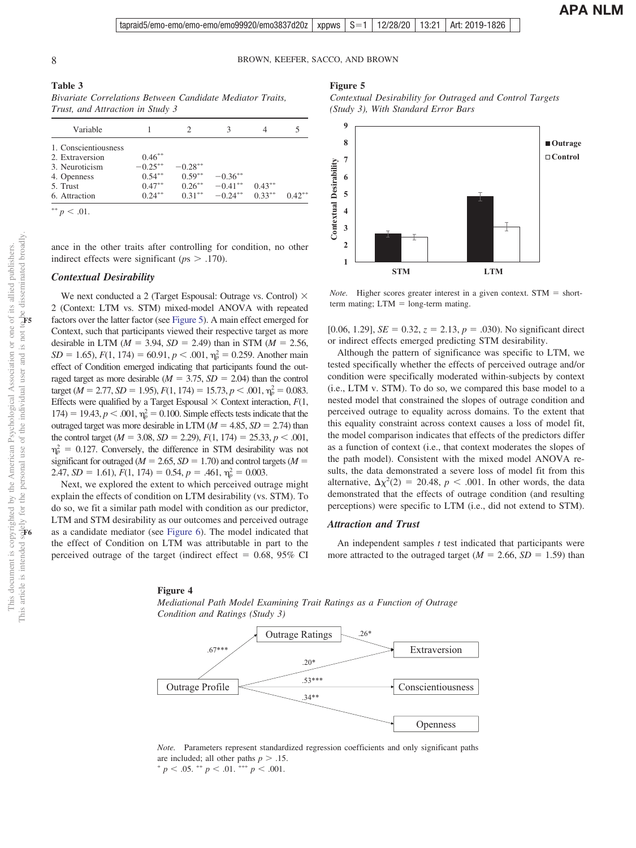<span id="page-7-2"></span>**Figure 5**

**1 2 3**

# 8 BROWN, KEEFER, SACCO, AND BROWN

This document is copyrighted by the American Psychological Association or one of its allied publishers. This article is intended solely for the personal use of the individual user and is not to be disseminated broadly.

This document is copyrighted by the American Psychological

**F6**

**F5**

Association or one of its allied publishers.

#### <span id="page-7-0"></span>**Table 3**

*Bivariate Correlations Between Candidate Mediator Traits, Trust, and Attraction in Study 3*

| Variable             |            |           |            | 4         |           |
|----------------------|------------|-----------|------------|-----------|-----------|
| 1. Conscientiousness |            |           |            |           |           |
| 2. Extraversion      | $0.46***$  |           |            |           |           |
| 3. Neuroticism       | $-0.25***$ | $-0.28**$ |            |           |           |
| 4. Openness          | $0.54***$  | $0.59***$ | $-0.36**$  |           |           |
| 5. Trust             | $0.47***$  | $0.26***$ | $-0.41***$ | $0.43***$ |           |
| 6. Attraction        | $0.24***$  | $0.31***$ | $-0.24***$ | $0.33***$ | $0.42***$ |
| **                   |            |           |            |           |           |

ance in the other traits after controlling for condition, no other indirect effects were significant ( $p_s$   $>$  .170).

# *Contextual Desirability*

We next conducted a 2 (Target Espousal: Outrage vs. Control)  $\times$ 2 (Context: LTM vs. STM) mixed-model ANOVA with repeated factors over the latter factor (see [Figure 5\)](#page-7-2). A main effect emerged for Context, such that participants viewed their respective target as more desirable in LTM ( $M = 3.94$ ,  $SD = 2.49$ ) than in STM ( $M = 2.56$ ,  $SD = 1.65$ ,  $F(1, 174) = 60.91$ ,  $p < .001$ ,  $\eta_p^2 = 0.259$ . Another main effect of Condition emerged indicating that participants found the outraged target as more desirable  $(M = 3.75, SD = 2.04)$  than the control target ( $M = 2.77$ ,  $SD = 1.95$ ),  $F(1, 174) = 15.73$ ,  $p < .001$ ,  $\eta_p^2 = 0.083$ . Effects were qualified by a Target Espousal  $\times$  Context interaction,  $F(1, 1)$ 174) = 19.43,  $p < .001$ ,  $\eta_p^2 = 0.100$ . Simple effects tests indicate that the outraged target was more desirable in LTM  $(M = 4.85, SD = 2.74)$  than the control target ( $M = 3.08$ ,  $SD = 2.29$ ),  $F(1, 174) = 25.33$ ,  $p < .001$ ,  $\eta_p^2 = 0.127$ . Conversely, the difference in STM desirability was not significant for outraged ( $M = 2.65$ ,  $SD = 1.70$ ) and control targets ( $M =$ 2.47, *SD* = 1.61),  $F(1, 174) = 0.54$ ,  $p = .461$ ,  $\eta_p^2 = 0.003$ .

Next, we explored the extent to which perceived outrage might explain the effects of condition on LTM desirability (vs. STM). To do so, we fit a similar path model with condition as our predictor, LTM and STM desirability as our outcomes and perceived outrage as a candidate mediator (see [Figure 6\)](#page-8-0). The model indicated that the effect of Condition on LTM was attributable in part to the perceived outrage of the target (indirect effect  $= 0.68, 95\%$  CI

# *(Study 3), With Standard Error Bars* **9 8** ■**Outrage Control 7** Contextual Desirability **Contextual Desirability 6 5 4**

*Contextual Desirability for Outraged and Control Targets*

*Note*. Higher scores greater interest in a given context. STM = short $term$  mating;  $LTM = long-term$  mating.

**STM LTM**

[0.06, 1.29],  $SE = 0.32$ ,  $z = 2.13$ ,  $p = .030$ ). No significant direct or indirect effects emerged predicting STM desirability.

Although the pattern of significance was specific to LTM, we tested specifically whether the effects of perceived outrage and/or condition were specifically moderated within-subjects by context (i.e., LTM v. STM). To do so, we compared this base model to a nested model that constrained the slopes of outrage condition and perceived outrage to equality across domains. To the extent that this equality constraint across context causes a loss of model fit, the model comparison indicates that effects of the predictors differ as a function of context (i.e., that context moderates the slopes of the path model). Consistent with the mixed model ANOVA results, the data demonstrated a severe loss of model fit from this alternative,  $\Delta \chi^2(2) = 20.48$ ,  $p < .001$ . In other words, the data demonstrated that the effects of outrage condition (and resulting perceptions) were specific to LTM (i.e., did not extend to STM).

#### *Attraction and Trust*

An independent samples *t* test indicated that participants were more attracted to the outraged target ( $M = 2.66$ ,  $SD = 1.59$ ) than

#### <span id="page-7-1"></span>**Figure 4**



*Mediational Path Model Examining Trait Ratings as a Function of Outrage*

*Note.* Parameters represent standardized regression coefficients and only significant paths are included; all other paths  $p > .15$ .  $p < .05.$  \*\*  $p < .01.$  \*\*\*  $p < .001.$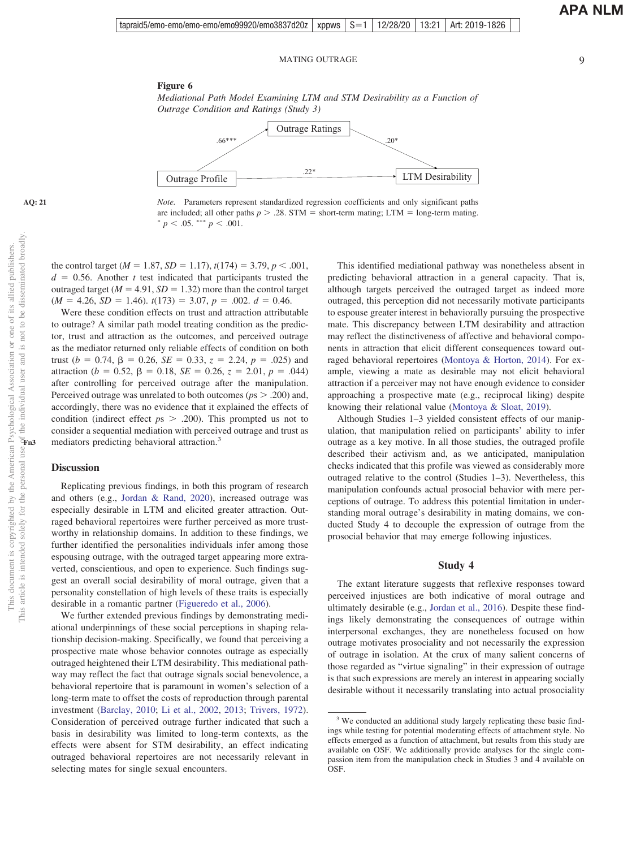**APA NLM**

#### <span id="page-8-0"></span>**Figure 6**



*Note.* Parameters represent standardized regression coefficients and only significant paths are included; all other paths  $p > .28$ . STM = short-term mating; LTM = long-term mating.  $p < .05.$  \*\*\*  $p < .001.$ 

the control target ( $M = 1.87$ ,  $SD = 1.17$ ),  $t(174) = 3.79$ ,  $p < .001$ ,  $d = 0.56$ . Another *t* test indicated that participants trusted the outraged target  $(M = 4.91, SD = 1.32)$  more than the control target  $(M = 4.26, SD = 1.46)$ .  $t(173) = 3.07, p = .002$ .  $d = 0.46$ .

Were these condition effects on trust and attraction attributable to outrage? A similar path model treating condition as the predictor, trust and attraction as the outcomes, and perceived outrage as the mediator returned only reliable effects of condition on both trust  $(b = 0.74, \beta = 0.26, \text{ } SE = 0.33, \text{ } z = 2.24, \text{ } p = .025)$  and  $\alpha$  attraction (*b* = 0.52,  $\beta$  = 0.18, *SE* = 0.26, *z* = 2.01, *p* = .044) after controlling for perceived outrage after the manipulation. Perceived outrage was unrelated to both outcomes ( $ps > .200$ ) and, accordingly, there was no evidence that it explained the effects of condition (indirect effect  $ps$   $>$  .200). This prompted us not to consider a sequential mediation with perceived outrage and trust as mediators predicting behavioral attraction.<sup>3</sup>

# **Discussion**

Replicating previous findings, in both this program of research and others (e.g., [Jordan & Rand, 2020\)](#page-14-1), increased outrage was especially desirable in LTM and elicited greater attraction. Outraged behavioral repertoires were further perceived as more trustworthy in relationship domains. In addition to these findings, we further identified the personalities individuals infer among those espousing outrage, with the outraged target appearing more extraverted, conscientious, and open to experience. Such findings suggest an overall social desirability of moral outrage, given that a personality constellation of high levels of these traits is especially desirable in a romantic partner [\(Figueredo et al., 2006\)](#page-13-17).

We further extended previous findings by demonstrating mediational underpinnings of these social perceptions in shaping relationship decision-making. Specifically, we found that perceiving a prospective mate whose behavior connotes outrage as especially outraged heightened their LTM desirability. This mediational pathway may reflect the fact that outrage signals social benevolence, a behavioral repertoire that is paramount in women's selection of a long-term mate to offset the costs of reproduction through parental investment [\(Barclay, 2010;](#page-12-2) [Li et al., 2002,](#page-14-2) [2013;](#page-14-3) [Trivers, 1972\)](#page-15-2). Consideration of perceived outrage further indicated that such a basis in desirability was limited to long-term contexts, as the effects were absent for STM desirability, an effect indicating outraged behavioral repertoires are not necessarily relevant in selecting mates for single sexual encounters.

This identified mediational pathway was nonetheless absent in predicting behavioral attraction in a general capacity. That is, although targets perceived the outraged target as indeed more outraged, this perception did not necessarily motivate participants to espouse greater interest in behaviorally pursuing the prospective mate. This discrepancy between LTM desirability and attraction may reflect the distinctiveness of affective and behavioral components in attraction that elicit different consequences toward outraged behavioral repertoires [\(Montoya & Horton, 2014\)](#page-14-28). For example, viewing a mate as desirable may not elicit behavioral attraction if a perceiver may not have enough evidence to consider approaching a prospective mate (e.g., reciprocal liking) despite knowing their relational value [\(Montoya & Sloat, 2019\)](#page-14-29).

Although Studies 1–3 yielded consistent effects of our manipulation, that manipulation relied on participants' ability to infer outrage as a key motive. In all those studies, the outraged profile described their activism and, as we anticipated, manipulation checks indicated that this profile was viewed as considerably more outraged relative to the control (Studies 1–3). Nevertheless, this manipulation confounds actual prosocial behavior with mere perceptions of outrage. To address this potential limitation in understanding moral outrage's desirability in mating domains, we conducted Study 4 to decouple the expression of outrage from the prosocial behavior that may emerge following injustices.

# **Study 4**

The extant literature suggests that reflexive responses toward perceived injustices are both indicative of moral outrage and ultimately desirable (e.g., [Jordan et al., 2016\)](#page-13-0). Despite these findings likely demonstrating the consequences of outrage within interpersonal exchanges, they are nonetheless focused on how outrage motivates prosociality and not necessarily the expression of outrage in isolation. At the crux of many salient concerns of those regarded as "virtue signaling" in their expression of outrage is that such expressions are merely an interest in appearing socially desirable without it necessarily translating into actual prosociality

<sup>&</sup>lt;sup>3</sup> We conducted an additional study largely replicating these basic findings while testing for potential moderating effects of attachment style. No effects emerged as a function of attachment, but results from this study are available on OSF. We additionally provide analyses for the single compassion item from the manipulation check in Studies 3 and 4 available on **OSF.**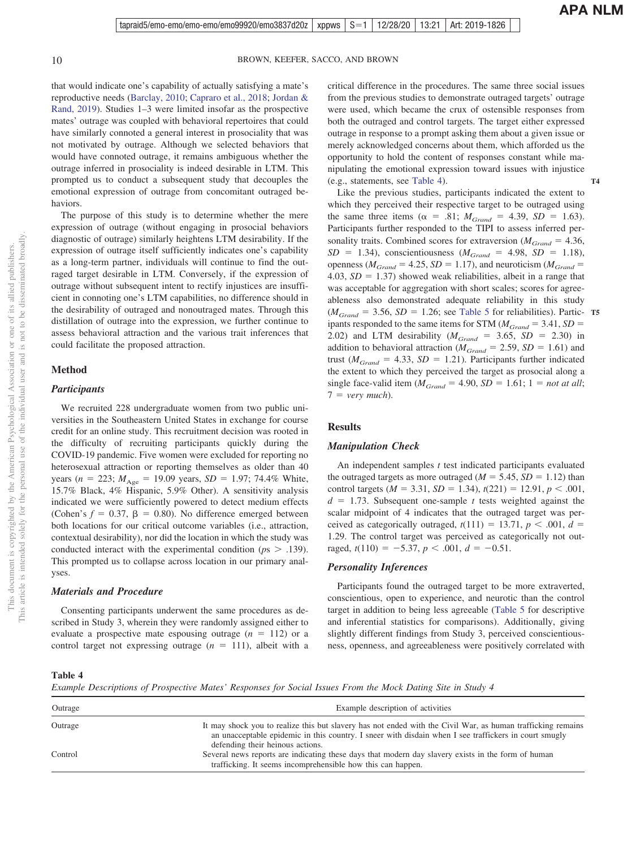that would indicate one's capability of actually satisfying a mate's reproductive needs [\(Barclay, 2010;](#page-12-2) [Capraro et al., 2018;](#page-13-20) [Jordan &](#page-14-0) [Rand, 2019\)](#page-14-0). Studies 1–3 were limited insofar as the prospective mates' outrage was coupled with behavioral repertoires that could have similarly connoted a general interest in prosociality that was not motivated by outrage. Although we selected behaviors that would have connoted outrage, it remains ambiguous whether the outrage inferred in prosociality is indeed desirable in LTM. This prompted us to conduct a subsequent study that decouples the emotional expression of outrage from concomitant outraged behaviors.

The purpose of this study is to determine whether the mere expression of outrage (without engaging in prosocial behaviors diagnostic of outrage) similarly heightens LTM desirability. If the expression of outrage itself sufficiently indicates one's capability as a long-term partner, individuals will continue to find the outraged target desirable in LTM. Conversely, if the expression of outrage without subsequent intent to rectify injustices are insufficient in connoting one's LTM capabilities, no difference should in the desirability of outraged and nonoutraged mates. Through this distillation of outrage into the expression, we further continue to assess behavioral attraction and the various trait inferences that could facilitate the proposed attraction.

# **Method**

#### *Participants*

We recruited 228 undergraduate women from two public universities in the Southeastern United States in exchange for course credit for an online study. This recruitment decision was rooted in the difficulty of recruiting participants quickly during the COVID-19 pandemic. Five women were excluded for reporting no heterosexual attraction or reporting themselves as older than 40 years ( $n = 223$ ;  $M_{\text{Age}} = 19.09$  years,  $SD = 1.97$ ; 74.4% White, 15.7% Black, 4% Hispanic, 5.9% Other). A sensitivity analysis indicated we were sufficiently powered to detect medium effects (Cohen's  $f = 0.37$ ,  $\beta = 0.80$ ). No difference emerged between both locations for our critical outcome variables (i.e., attraction, contextual desirability), nor did the location in which the study was conducted interact with the experimental condition ( $p_s$   $>$  .139). This prompted us to collapse across location in our primary analyses.

# *Materials and Procedure*

Consenting participants underwent the same procedures as described in Study 3, wherein they were randomly assigned either to evaluate a prospective mate espousing outrage  $(n = 112)$  or a control target not expressing outrage  $(n = 111)$ , albeit with a

critical difference in the procedures. The same three social issues from the previous studies to demonstrate outraged targets' outrage were used, which became the crux of ostensible responses from both the outraged and control targets. The target either expressed outrage in response to a prompt asking them about a given issue or merely acknowledged concerns about them, which afforded us the opportunity to hold the content of responses constant while manipulating the emotional expression toward issues with injustice (e.g., statements, see [Table 4\)](#page-9-0).

**T4**

Like the previous studies, participants indicated the extent to which they perceived their respective target to be outraged using the same three items ( $\alpha$  = .81;  $M_{Grand}$  = 4.39,  $SD = 1.63$ ). Participants further responded to the TIPI to assess inferred personality traits. Combined scores for extraversion ( $M_{Grand} = 4.36$ ,  $SD = 1.34$ , conscientiousness ( $M_{Grand} = 4.98$ ,  $SD = 1.18$ ), openness ( $M_{Grand} = 4.25$ ,  $SD = 1.17$ ), and neuroticism ( $M_{Grand} =$  $4.03, SD = 1.37$ ) showed weak reliabilities, albeit in a range that was acceptable for aggregation with short scales; scores for agreeableness also demonstrated adequate reliability in this study  $(M_{Grand} = 3.56, SD = 1.26$ ; see [Table 5](#page-10-0) for reliabilities). Partic- **T5** ipants responded to the same items for STM  $(M_{Grand} = 3.41, SD =$ 2.02) and LTM desirability ( $M_{Grand} = 3.65$ ,  $SD = 2.30$ ) in addition to behavioral attraction ( $M_{Grand} = 2.59$ ,  $SD = 1.61$ ) and trust ( $M_{Grand} = 4.33$ ,  $SD = 1.21$ ). Participants further indicated the extent to which they perceived the target as prosocial along a single face-valid item ( $M_{Grand} = 4.90$ ,  $SD = 1.61$ ;  $1 = not at all$ ;  $7 = very much$ ).

### **Results**

# *Manipulation Check*

An independent samples *t* test indicated participants evaluated the outraged targets as more outraged  $(M = 5.45, SD = 1.12)$  than control targets ( $M = 3.31$ ,  $SD = 1.34$ ),  $t(221) = 12.91$ ,  $p < .001$ ,  $d = 1.73$ . Subsequent one-sample *t* tests weighted against the scalar midpoint of 4 indicates that the outraged target was perceived as categorically outraged,  $t(111) = 13.71$ ,  $p < .001$ ,  $d =$ 1.29. The control target was perceived as categorically not outraged,  $t(110) = -5.37, p < .001, d = -0.51$ .

# *Personality Inferences*

Participants found the outraged target to be more extraverted, conscientious, open to experience, and neurotic than the control target in addition to being less agreeable [\(Table 5](#page-10-0) for descriptive and inferential statistics for comparisons). Additionally, giving slightly different findings from Study 3, perceived conscientiousness, openness, and agreeableness were positively correlated with

<span id="page-9-0"></span>**Table 4**

*Example Descriptions of Prospective Mates' Responses for Social Issues From the Mock Dating Site in Study 4*

| Outrage | Example description of activities                                                                                                                                                                                    |
|---------|----------------------------------------------------------------------------------------------------------------------------------------------------------------------------------------------------------------------|
| Outrage | It may shock you to realize this but slavery has not ended with the Civil War, as human trafficking remains<br>an unacceptable epidemic in this country. I sneer with disdain when I see traffickers in court smugly |
| Control | defending their heinous actions.<br>Several news reports are indicating these days that modern day slavery exists in the form of human                                                                               |
|         | trafficking. It seems incomprehensible how this can happen.                                                                                                                                                          |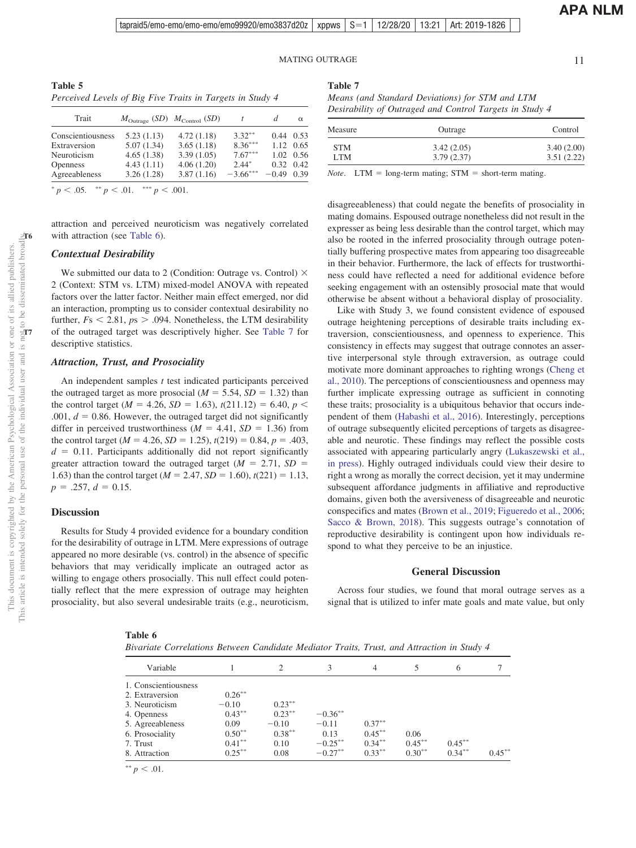tapraid5/emo-emo/emo-emo/emo99920/emo3837d20z | xppws  $\mid S=1$ 12/28/20 13:21 Art: 2019-1826

### MATING OUTRAGE 11

**APA NLM**

<span id="page-10-0"></span>**Table 5** *Perceived Levels of Big Five Traits in Targets in Study 4*

| Trait             | $M_{\text{Outrage}}$ (SD) $M_{\text{Control}}$ (SD) |            |            | d                 | $\alpha$  |
|-------------------|-----------------------------------------------------|------------|------------|-------------------|-----------|
| Conscientiousness | 5.23(1.13)                                          | 4.72(1.18) | $3.32***$  | 0.44              | 0.53      |
| Extraversion      | 5.07(1.34)                                          | 3.65(1.18) | $8.36***$  | 1.12 0.65         |           |
| Neuroticism       | 4.65(1.38)                                          | 3.39(1.05) | $7.67***$  |                   | 1.02 0.56 |
| <b>Openness</b>   | 4.43(1.11)                                          | 4.06(1.20) | $2.44*$    | $0.32 \quad 0.42$ |           |
| Agreeableness     | 3.26(1.28)                                          | 3.87(1.16) | $-3.66***$ | $-0.49$           | 0.39      |
|                   |                                                     |            |            |                   |           |

 $p < .05.$  \*\*  $p < .01.$  \*\*\*  $p < .001.$ 

attraction and perceived neuroticism was negatively correlated with attraction (see [Table 6\)](#page-10-1).

# *Contextual Desirability*

We submitted our data to 2 (Condition: Outrage vs. Control)  $\times$ 2 (Context: STM vs. LTM) mixed-model ANOVA with repeated factors over the latter factor. Neither main effect emerged, nor did an interaction, prompting us to consider contextual desirability no further,  $Fs < 2.81$ ,  $ps > .094$ . Nonetheless, the LTM desirability of the outraged target was descriptively higher. See [Table 7](#page-10-2) for descriptive statistics.

#### *Attraction, Trust, and Prosociality*

An independent samples *t* test indicated participants perceived the outraged target as more prosocial  $(M = 5.54, SD = 1.32)$  than the control target ( $M = 4.26$ ,  $SD = 1.63$ ),  $t(211.12) = 6.40$ ,  $p <$  $.001, d = 0.86$ . However, the outraged target did not significantly differ in perceived trustworthiness  $(M = 4.41, SD = 1.36)$  from the control target ( $M = 4.26$ ,  $SD = 1.25$ ),  $t(219) = 0.84$ ,  $p = .403$ ,  $d = 0.11$ . Participants additionally did not report significantly greater attraction toward the outraged target  $(M = 2.71, SD =$ 1.63) than the control target ( $M = 2.47$ ,  $SD = 1.60$ ),  $t(221) = 1.13$ ,  $p = .257, d = 0.15.$ 

#### **Discussion**

Results for Study 4 provided evidence for a boundary condition for the desirability of outrage in LTM. Mere expressions of outrage appeared no more desirable (vs. control) in the absence of specific behaviors that may veridically implicate an outraged actor as willing to engage others prosocially. This null effect could potentially reflect that the mere expression of outrage may heighten prosociality, but also several undesirable traits (e.g., neuroticism,

#### <span id="page-10-2"></span>**Table 7**

*Means (and Standard Deviations) for STM and LTM Desirability of Outraged and Control Targets in Study 4*

| Outrage    | Control    |
|------------|------------|
| 3.42(2.05) | 3.40(2.00) |
| 3.79(2.37) | 3.51(2.22) |
|            |            |

*Note*. LTM =  $\log$ -term mating; STM = short-term mating.

disagreeableness) that could negate the benefits of prosociality in mating domains. Espoused outrage nonetheless did not result in the expresser as being less desirable than the control target, which may also be rooted in the inferred prosociality through outrage potentially buffering prospective mates from appearing too disagreeable in their behavior. Furthermore, the lack of effects for trustworthiness could have reflected a need for additional evidence before seeking engagement with an ostensibly prosocial mate that would otherwise be absent without a behavioral display of prosociality.

Like with Study 3, we found consistent evidence of espoused outrage heightening perceptions of desirable traits including extraversion, conscientiousness, and openness to experience. This consistency in effects may suggest that outrage connotes an assertive interpersonal style through extraversion, as outrage could motivate more dominant approaches to righting wrongs [\(Cheng et](#page-13-21) [al., 2010\)](#page-13-21). The perceptions of conscientiousness and openness may further implicate expressing outrage as sufficient in connoting these traits; prosociality is a ubiquitous behavior that occurs independent of them [\(Habashi et al., 2016\)](#page-13-22). Interestingly, perceptions of outrage subsequently elicited perceptions of targets as disagreeable and neurotic. These findings may reflect the possible costs associated with appearing particularly angry [\(Lukaszewski et al.,](#page-14-30) [in press\)](#page-14-30). Highly outraged individuals could view their desire to right a wrong as morally the correct decision, yet it may undermine subsequent affordance judgments in affiliative and reproductive domains, given both the aversiveness of disagreeable and neurotic conspecifics and mates [\(Brown et al., 2019;](#page-12-6) [Figueredo et al., 2006;](#page-13-17) [Sacco & Brown, 2018\)](#page-14-31). This suggests outrage's connotation of reproductive desirability is contingent upon how individuals respond to what they perceive to be an injustice.

# **General Discussion**

Across four studies, we found that moral outrage serves as a signal that is utilized to infer mate goals and mate value, but only

**T6**

#### <span id="page-10-1"></span>**Table 6**

| Bivariate Correlations Between Candidate Mediator Traits, Trust, and Attraction in Study 4 |  |  |  |
|--------------------------------------------------------------------------------------------|--|--|--|
|--------------------------------------------------------------------------------------------|--|--|--|

| Variable             |           | 2         | 3          | 4         |           | 6         | $\mathcal{I}$ |
|----------------------|-----------|-----------|------------|-----------|-----------|-----------|---------------|
| 1. Conscientiousness |           |           |            |           |           |           |               |
| 2. Extraversion      | $0.26***$ |           |            |           |           |           |               |
| 3. Neuroticism       | $-0.10$   | $0.23***$ |            |           |           |           |               |
| 4. Openness          | $0.43***$ | $0.23***$ | $-0.36**$  |           |           |           |               |
| 5. Agreeableness     | 0.09      | $-0.10$   | $-0.11$    | $0.37***$ |           |           |               |
| 6. Prosociality      | $0.50**$  | $0.38***$ | 0.13       | $0.45***$ | 0.06      |           |               |
| 7. Trust             | $0.41***$ | 0.10      | $-0.25***$ | $0.34***$ | $0.45***$ | $0.45***$ |               |
| 8. Attraction        | $0.25***$ | 0.08      | $-0.27**$  | $0.33***$ | $0.30***$ | $0.34***$ | $0.45***$     |

\*\*  $p < .01$ .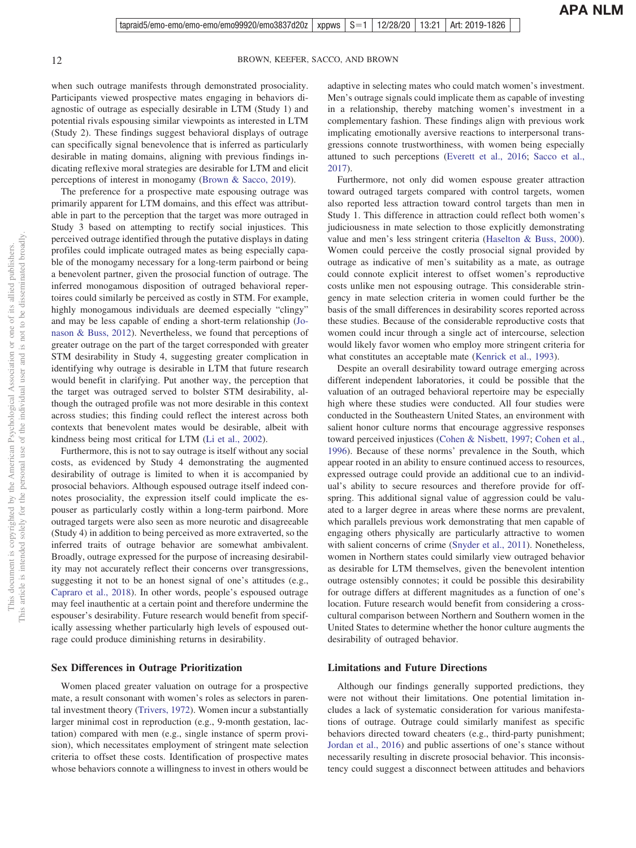when such outrage manifests through demonstrated prosociality. Participants viewed prospective mates engaging in behaviors diagnostic of outrage as especially desirable in LTM (Study 1) and potential rivals espousing similar viewpoints as interested in LTM (Study 2). These findings suggest behavioral displays of outrage can specifically signal benevolence that is inferred as particularly desirable in mating domains, aligning with previous findings indicating reflexive moral strategies are desirable for LTM and elicit perceptions of interest in monogamy [\(Brown & Sacco, 2019\)](#page-12-7).

The preference for a prospective mate espousing outrage was primarily apparent for LTM domains, and this effect was attributable in part to the perception that the target was more outraged in Study 3 based on attempting to rectify social injustices. This perceived outrage identified through the putative displays in dating profiles could implicate outraged mates as being especially capable of the monogamy necessary for a long-term pairbond or being a benevolent partner, given the prosocial function of outrage. The inferred monogamous disposition of outraged behavioral repertoires could similarly be perceived as costly in STM. For example, highly monogamous individuals are deemed especially "clingy" and may be less capable of ending a short-term relationship [\(Jo](#page-13-8)[nason & Buss, 2012\)](#page-13-8). Nevertheless, we found that perceptions of greater outrage on the part of the target corresponded with greater STM desirability in Study 4, suggesting greater complication in identifying why outrage is desirable in LTM that future research would benefit in clarifying. Put another way, the perception that the target was outraged served to bolster STM desirability, although the outraged profile was not more desirable in this context across studies; this finding could reflect the interest across both contexts that benevolent mates would be desirable, albeit with kindness being most critical for LTM [\(Li et al., 2002\)](#page-14-2).

Furthermore, this is not to say outrage is itself without any social costs, as evidenced by Study 4 demonstrating the augmented desirability of outrage is limited to when it is accompanied by prosocial behaviors. Although espoused outrage itself indeed connotes prosociality, the expression itself could implicate the espouser as particularly costly within a long-term pairbond. More outraged targets were also seen as more neurotic and disagreeable (Study 4) in addition to being perceived as more extraverted, so the inferred traits of outrage behavior are somewhat ambivalent. Broadly, outrage expressed for the purpose of increasing desirability may not accurately reflect their concerns over transgressions, suggesting it not to be an honest signal of one's attitudes (e.g., [Capraro et al., 2018\)](#page-13-20). In other words, people's espoused outrage may feel inauthentic at a certain point and therefore undermine the espouser's desirability. Future research would benefit from specifically assessing whether particularly high levels of espoused outrage could produce diminishing returns in desirability.

# **Sex Differences in Outrage Prioritization**

Women placed greater valuation on outrage for a prospective mate, a result consonant with women's roles as selectors in parental investment theory [\(Trivers, 1972\)](#page-15-2). Women incur a substantially larger minimal cost in reproduction (e.g., 9-month gestation, lactation) compared with men (e.g., single instance of sperm provision), which necessitates employment of stringent mate selection criteria to offset these costs. Identification of prospective mates whose behaviors connote a willingness to invest in others would be adaptive in selecting mates who could match women's investment. Men's outrage signals could implicate them as capable of investing in a relationship, thereby matching women's investment in a complementary fashion. These findings align with previous work implicating emotionally aversive reactions to interpersonal transgressions connote trustworthiness, with women being especially attuned to such perceptions [\(Everett et al., 2016;](#page-13-13) [Sacco et al.,](#page-14-14) [2017\)](#page-14-14).

Furthermore, not only did women espouse greater attraction toward outraged targets compared with control targets, women also reported less attraction toward control targets than men in Study 1. This difference in attraction could reflect both women's judiciousness in mate selection to those explicitly demonstrating value and men's less stringent criteria [\(Haselton & Buss, 2000\)](#page-13-15). Women could perceive the costly prosocial signal provided by outrage as indicative of men's suitability as a mate, as outrage could connote explicit interest to offset women's reproductive costs unlike men not espousing outrage. This considerable stringency in mate selection criteria in women could further be the basis of the small differences in desirability scores reported across these studies. Because of the considerable reproductive costs that women could incur through a single act of intercourse, selection would likely favor women who employ more stringent criteria for what constitutes an acceptable mate [\(Kenrick et al., 1993\)](#page-14-11).

Despite an overall desirability toward outrage emerging across different independent laboratories, it could be possible that the valuation of an outraged behavioral repertoire may be especially high where these studies were conducted. All four studies were conducted in the Southeastern United States, an environment with salient honor culture norms that encourage aggressive responses toward perceived injustices [\(Cohen & Nisbett, 1997;](#page-13-23) [Cohen et al.,](#page-13-24) [1996\)](#page-13-24). Because of these norms' prevalence in the South, which appear rooted in an ability to ensure continued access to resources, expressed outrage could provide an additional cue to an individual's ability to secure resources and therefore provide for offspring. This additional signal value of aggression could be valuated to a larger degree in areas where these norms are prevalent, which parallels previous work demonstrating that men capable of engaging others physically are particularly attractive to women with salient concerns of crime [\(Snyder et al., 2011\)](#page-15-8). Nonetheless, women in Northern states could similarly view outraged behavior as desirable for LTM themselves, given the benevolent intention outrage ostensibly connotes; it could be possible this desirability for outrage differs at different magnitudes as a function of one's location. Future research would benefit from considering a crosscultural comparison between Northern and Southern women in the United States to determine whether the honor culture augments the desirability of outraged behavior.

# **Limitations and Future Directions**

Although our findings generally supported predictions, they were not without their limitations. One potential limitation includes a lack of systematic consideration for various manifestations of outrage. Outrage could similarly manifest as specific behaviors directed toward cheaters (e.g., third-party punishment; [Jordan et al., 2016\)](#page-13-0) and public assertions of one's stance without necessarily resulting in discrete prosocial behavior. This inconsistency could suggest a disconnect between attitudes and behaviors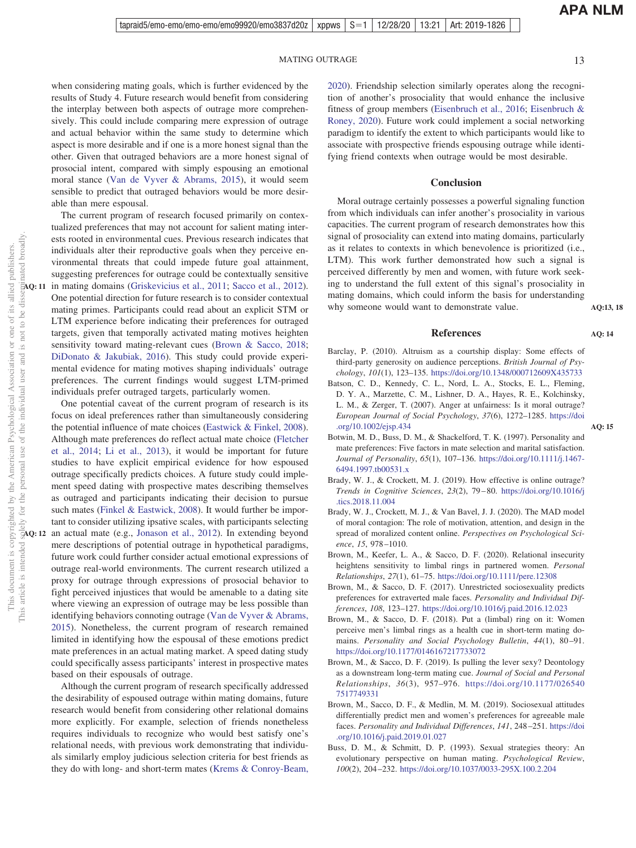**APA NLM**

**AQ:13, 18**

**AQ: 14**

**AQ: 15**

when considering mating goals, which is further evidenced by the results of Study 4. Future research would benefit from considering the interplay between both aspects of outrage more comprehensively. This could include comparing mere expression of outrage and actual behavior within the same study to determine which aspect is more desirable and if one is a more honest signal than the other. Given that outraged behaviors are a more honest signal of prosocial intent, compared with simply espousing an emotional moral stance [\(Van de Vyver & Abrams, 2015\)](#page-15-5), it would seem sensible to predict that outraged behaviors would be more desirable than mere espousal.

The current program of research focused primarily on contextualized preferences that may not account for salient mating interests rooted in environmental cues. Previous research indicates that individuals alter their reproductive goals when they perceive environmental threats that could impede future goal attainment, suggesting preferences for outrage could be contextually sensitive in mating domains [\(Griskevicius et al., 2011;](#page-13-25) [Sacco et al., 2012\)](#page-14-32). One potential direction for future research is to consider contextual mating primes. Participants could read about an explicit STM or LTM experience before indicating their preferences for outraged targets, given that temporally activated mating motives heighten sensitivity toward mating-relevant cues [\(Brown & Sacco, 2018;](#page-12-8) [DiDonato & Jakubiak, 2016\)](#page-13-26). This study could provide experimental evidence for mating motives shaping individuals' outrage preferences. The current findings would suggest LTM-primed individuals prefer outraged targets, particularly women.

One potential caveat of the current program of research is its focus on ideal preferences rather than simultaneously considering the potential influence of mate choices [\(Eastwick & Finkel, 2008\)](#page-13-27). Although mate preferences do reflect actual mate choice [\(Fletcher](#page-13-28) [et al., 2014;](#page-13-28) [Li et al., 2013\)](#page-14-3), it would be important for future studies to have explicit empirical evidence for how espoused outrage specifically predicts choices. A future study could implement speed dating with prospective mates describing themselves as outraged and participants indicating their decision to pursue such mates [\(Finkel & Eastwick, 2008\)](#page-13-29). It would further be important to consider utilizing ipsative scales, with participants selecting AQ: 12 an actual mate (e.g., [Jonason et al., 2012\)](#page-13-30). In extending beyond mere descriptions of potential outrage in hypothetical paradigms, future work could further consider actual emotional expressions of outrage real-world environments. The current research utilized a proxy for outrage through expressions of prosocial behavior to fight perceived injustices that would be amenable to a dating site where viewing an expression of outrage may be less possible than identifying behaviors connoting outrage [\(Van de Vyver & Abrams,](#page-15-5) [2015\)](#page-15-5). Nonetheless, the current program of research remained limited in identifying how the espousal of these emotions predict mate preferences in an actual mating market. A speed dating study could specifically assess participants' interest in prospective mates based on their espousals of outrage.

Although the current program of research specifically addressed the desirability of espoused outrage within mating domains, future research would benefit from considering other relational domains more explicitly. For example, selection of friends nonetheless requires individuals to recognize who would best satisfy one's relational needs, with previous work demonstrating that individuals similarly employ judicious selection criteria for best friends as they do with long- and short-term mates [\(Krems & Conroy-Beam,](#page-14-33) [2020\)](#page-14-33). Friendship selection similarly operates along the recognition of another's prosociality that would enhance the inclusive fitness of group members [\(Eisenbruch et al., 2016;](#page-13-31) [Eisenbruch &](#page-13-32) [Roney, 2020\)](#page-13-32). Future work could implement a social networking paradigm to identify the extent to which participants would like to associate with prospective friends espousing outrage while identifying friend contexts when outrage would be most desirable.

#### **Conclusion**

Moral outrage certainly possesses a powerful signaling function from which individuals can infer another's prosociality in various capacities. The current program of research demonstrates how this signal of prosociality can extend into mating domains, particularly as it relates to contexts in which benevolence is prioritized (i.e., LTM). This work further demonstrated how such a signal is perceived differently by men and women, with future work seeking to understand the full extent of this signal's prosociality in mating domains, which could inform the basis for understanding why someone would want to demonstrate value.

#### **References**

- <span id="page-12-2"></span>Barclay, P. (2010). Altruism as a courtship display: Some effects of third-party generosity on audience perceptions. *British Journal of Psychology*, *101*(1), 123–135. <https://doi.org/10.1348/000712609X435733>
- <span id="page-12-4"></span>Batson, C. D., Kennedy, C. L., Nord, L. A., Stocks, E. L., Fleming, D. Y. A., Marzette, C. M., Lishner, D. A., Hayes, R. E., Kolchinsky, L. M., & Zerger, T. (2007). Anger at unfairness: Is it moral outrage? *European Journal of Social Psychology*, *37*(6), 1272–1285. [https://doi](https://doi.org/10.1002/ejsp.434) [.org/10.1002/ejsp.434](https://doi.org/10.1002/ejsp.434)
- <span id="page-12-10"></span>Botwin, M. D., Buss, D. M., & Shackelford, T. K. (1997). Personality and mate preferences: Five factors in mate selection and marital satisfaction. *Journal of Personality*, *65*(1), 107–136. [https://doi.org/10.1111/j.1467-](https://doi.org/10.1111/j.1467-6494.1997.tb00531.x) [6494.1997.tb00531.x](https://doi.org/10.1111/j.1467-6494.1997.tb00531.x)
- <span id="page-12-0"></span>Brady, W. J., & Crockett, M. J. (2019). How effective is online outrage? *Trends in Cognitive Sciences*, *23*(2), 79 – 80. [https://doi.org/10.1016/j](https://doi.org/10.1016/j.tics.2018.11.004) [.tics.2018.11.004](https://doi.org/10.1016/j.tics.2018.11.004)
- <span id="page-12-1"></span>Brady, W. J., Crockett, M. J., & Van Bavel, J. J. (2020). The MAD model of moral contagion: The role of motivation, attention, and design in the spread of moralized content online. *Perspectives on Psychological Science*, *15*, 978 –1010.
- <span id="page-12-9"></span>Brown, M., Keefer, L. A., & Sacco, D. F. (2020). Relational insecurity heightens sensitivity to limbal rings in partnered women. *Personal Relationships*, *27*(1), 61–75. <https://doi.org/10.1111/pere.12308>
- <span id="page-12-5"></span>Brown, M., & Sacco, D. F. (2017). Unrestricted sociosexuality predicts preferences for extraverted male faces. *Personality and Individual Differences*, *108*, 123–127. <https://doi.org/10.1016/j.paid.2016.12.023>
- <span id="page-12-8"></span>Brown, M., & Sacco, D. F. (2018). Put a (limbal) ring on it: Women perceive men's limbal rings as a health cue in short-term mating domains. Personality and Social Psychology Bulletin, 44(1), 80-91. <https://doi.org/10.1177/0146167217733072>
- <span id="page-12-7"></span>Brown, M., & Sacco, D. F. (2019). Is pulling the lever sexy? Deontology as a downstream long-term mating cue. *Journal of Social and Personal Relationships*, *36*(3), 957–976. [https://doi.org/10.1177/026540](https://doi.org/10.1177/0265407517749331) [7517749331](https://doi.org/10.1177/0265407517749331)
- <span id="page-12-6"></span>Brown, M., Sacco, D. F., & Medlin, M. M. (2019). Sociosexual attitudes differentially predict men and women's preferences for agreeable male faces. *Personality and Individual Differences*, *141*, 248 –251. [https://doi](https://doi.org/10.1016/j.paid.2019.01.027) [.org/10.1016/j.paid.2019.01.027](https://doi.org/10.1016/j.paid.2019.01.027)
- <span id="page-12-3"></span>Buss, D. M., & Schmitt, D. P. (1993). Sexual strategies theory: An evolutionary perspective on human mating. *Psychological Review*, *100*(2), 204 –232. <https://doi.org/10.1037/0033-295X.100.2.204>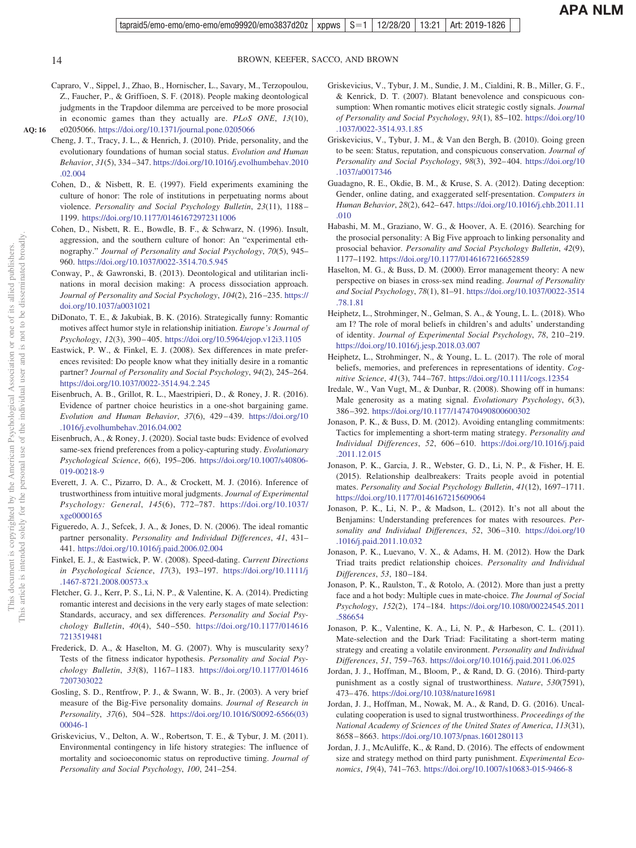**AQ: 16**

<span id="page-13-24"></span>This document is copyrighted by the American Psychological Association or one of its allied publishers. This article is intended solely for the personal use of the individual user and is not to be disseminated broadly.

<span id="page-13-32"></span><span id="page-13-31"></span>This article is intended solely for the personal use of the individual user and copyrighted by the American Psychological

<span id="page-13-29"></span><span id="page-13-28"></span><span id="page-13-25"></span><span id="page-13-18"></span><span id="page-13-17"></span><span id="page-13-13"></span><span id="page-13-7"></span>This document is

<span id="page-13-27"></span><span id="page-13-26"></span> $\rm \tilde{o}$ Š.

Association

<span id="page-13-12"></span>not to be disseminated broadly one of its allied publishers.

- 14 BROWN, KEEFER, SACCO, AND BROWN
- <span id="page-13-20"></span>Capraro, V., Sippel, J., Zhao, B., Hornischer, L., Savary, M., Terzopoulou, Z., Faucher, P., & Griffioen, S. F. (2018). People making deontological judgments in the Trapdoor dilemma are perceived to be more prosocial in economic games than they actually are. *PLoS ONE*, *13*(10), e0205066. <https://doi.org/10.1371/journal.pone.0205066>
- <span id="page-13-23"></span><span id="page-13-21"></span>Cheng, J. T., Tracy, J. L., & Henrich, J. (2010). Pride, personality, and the evolutionary foundations of human social status. *Evolution and Human Behavior*, *31*(5), 334 –347. [https://doi.org/10.1016/j.evolhumbehav.2010](https://doi.org/10.1016/j.evolhumbehav.2010.02.004) [.02.004](https://doi.org/10.1016/j.evolhumbehav.2010.02.004)
	- Cohen, D., & Nisbett, R. E. (1997). Field experiments examining the culture of honor: The role of institutions in perpetuating norms about violence. *Personality and Social Psychology Bulletin*, *23*(11), 1188 – 1199. <https://doi.org/10.1177/01461672972311006>
	- Cohen, D., Nisbett, R. E., Bowdle, B. F., & Schwarz, N. (1996). Insult, aggression, and the southern culture of honor: An "experimental ethnography." *Journal of Personality and Social Psychology*, *70*(5), 945– 960. <https://doi.org/10.1037/0022-3514.70.5.945>
	- Conway, P., & Gawronski, B. (2013). Deontological and utilitarian inclinations in moral decision making: A process dissociation approach. *Journal of Personality and Social Psychology*, *104*(2), 216 –235. [https://](https://doi.org/10.1037/a0031021) [doi.org/10.1037/a0031021](https://doi.org/10.1037/a0031021)
	- DiDonato, T. E., & Jakubiak, B. K. (2016). Strategically funny: Romantic motives affect humor style in relationship initiation. *Europe's Journal of Psychology*, *12*(3), 390 – 405. <https://doi.org/10.5964/ejop.v12i3.1105>
	- Eastwick, P. W., & Finkel, E. J. (2008). Sex differences in mate preferences revisited: Do people know what they initially desire in a romantic partner? *Journal of Personality and Social Psychology*, *94*(2), 245–264. <https://doi.org/10.1037/0022-3514.94.2.245>
	- Eisenbruch, A. B., Grillot, R. L., Maestripieri, D., & Roney, J. R. (2016). Evidence of partner choice heuristics in a one-shot bargaining game. *Evolution and Human Behavior*, *37*(6), 429 – 439. [https://doi.org/10](https://doi.org/10.1016/j.evolhumbehav.2016.04.002) [.1016/j.evolhumbehav.2016.04.002](https://doi.org/10.1016/j.evolhumbehav.2016.04.002)
	- Eisenbruch, A., & Roney, J. (2020). Social taste buds: Evidence of evolved same-sex friend preferences from a policy-capturing study. *Evolutionary Psychological Science*, *6*(6), 195–206. [https://doi.org/10.1007/s40806-](https://doi.org/10.1007/s40806-019-00218-9) [019-00218-9](https://doi.org/10.1007/s40806-019-00218-9)
	- Everett, J. A. C., Pizarro, D. A., & Crockett, M. J. (2016). Inference of trustworthiness from intuitive moral judgments. *Journal of Experimental Psychology: General*, *145*(6), 772–787. [https://doi.org/10.1037/](https://doi.org/10.1037/xge0000165) [xge0000165](https://doi.org/10.1037/xge0000165)
	- Figueredo, A. J., Sefcek, J. A., & Jones, D. N. (2006). The ideal romantic partner personality. *Personality and Individual Differences*, *41*, 431– 441. <https://doi.org/10.1016/j.paid.2006.02.004>
	- Finkel, E. J., & Eastwick, P. W. (2008). Speed-dating. *Current Directions in Psychological Science*, *17*(3), 193–197. [https://doi.org/10.1111/j](https://doi.org/10.1111/j.1467-8721.2008.00573.x) [.1467-8721.2008.00573.x](https://doi.org/10.1111/j.1467-8721.2008.00573.x)
	- Fletcher, G. J., Kerr, P. S., Li, N. P., & Valentine, K. A. (2014). Predicting romantic interest and decisions in the very early stages of mate selection: Standards, accuracy, and sex differences. *Personality and Social Psychology Bulletin*, *40*(4), 540 –550. [https://doi.org/10.1177/014616](https://doi.org/10.1177/0146167213519481) [7213519481](https://doi.org/10.1177/0146167213519481)
	- Frederick, D. A., & Haselton, M. G. (2007). Why is muscularity sexy? Tests of the fitness indicator hypothesis. *Personality and Social Psychology Bulletin*, *33*(8), 1167–1183. [https://doi.org/10.1177/014616](https://doi.org/10.1177/0146167207303022) [7207303022](https://doi.org/10.1177/0146167207303022)
	- Gosling, S. D., Rentfrow, P. J., & Swann, W. B., Jr. (2003). A very brief measure of the Big-Five personality domains. *Journal of Research in Personality*, *37*(6), 504 –528. [https://doi.org/10.1016/S0092-6566\(03\)](https://doi.org/10.1016/S0092-6566%2803%2900046-1) [00046-1](https://doi.org/10.1016/S0092-6566%2803%2900046-1)
	- Griskevicius, V., Delton, A. W., Robertson, T. E., & Tybur, J. M. (2011). Environmental contingency in life history strategies: The influence of mortality and socioeconomic status on reproductive timing. *Journal of Personality and Social Psychology*, *100*, 241–254.
- <span id="page-13-4"></span>Griskevicius, V., Tybur, J. M., Sundie, J. M., Cialdini, R. B., Miller, G. F., & Kenrick, D. T. (2007). Blatant benevolence and conspicuous consumption: When romantic motives elicit strategic costly signals. *Journal of Personality and Social Psychology*, *93*(1), 85–102. [https://doi.org/10](https://doi.org/10.1037/0022-3514.93.1.85) [.1037/0022-3514.93.1.85](https://doi.org/10.1037/0022-3514.93.1.85)
- <span id="page-13-3"></span>Griskevicius, V., Tybur, J. M., & Van den Bergh, B. (2010). Going green to be seen: Status, reputation, and conspicuous conservation. *Journal of Personality and Social Psychology*, *98*(3), 392– 404. [https://doi.org/10](https://doi.org/10.1037/a0017346) [.1037/a0017346](https://doi.org/10.1037/a0017346)
- <span id="page-13-1"></span>Guadagno, R. E., Okdie, B. M., & Kruse, S. A. (2012). Dating deception: Gender, online dating, and exaggerated self-presentation. *Computers in Human Behavior*, *28*(2), 642– 647. [https://doi.org/10.1016/j.chb.2011.11](https://doi.org/10.1016/j.chb.2011.11.010) [.010](https://doi.org/10.1016/j.chb.2011.11.010)
- <span id="page-13-22"></span>Habashi, M. M., Graziano, W. G., & Hoover, A. E. (2016). Searching for the prosocial personality: A Big Five approach to linking personality and prosocial behavior. *Personality and Social Psychology Bulletin*, *42*(9), 1177–1192. <https://doi.org/10.1177/0146167216652859>
- <span id="page-13-15"></span>Haselton, M. G., & Buss, D. M. (2000). Error management theory: A new perspective on biases in cross-sex mind reading. *Journal of Personality and Social Psychology*, *78*(1), 81–91. [https://doi.org/10.1037/0022-3514](https://doi.org/10.1037/0022-3514.78.1.81) [.78.1.81](https://doi.org/10.1037/0022-3514.78.1.81)
- <span id="page-13-10"></span>Heiphetz, L., Strohminger, N., Gelman, S. A., & Young, L. L. (2018). Who am I? The role of moral beliefs in children's and adults' understanding of identity. *Journal of Experimental Social Psychology*, *78*, 210 –219. <https://doi.org/10.1016/j.jesp.2018.03.007>
- <span id="page-13-11"></span>Heiphetz, L., Strohminger, N., & Young, L. L. (2017). The role of moral beliefs, memories, and preferences in representations of identity. *Cognitive Science*, *41*(3), 744 –767. <https://doi.org/10.1111/cogs.12354>
- <span id="page-13-14"></span>Iredale, W., Van Vugt, M., & Dunbar, R. (2008). Showing off in humans: Male generosity as a mating signal. *Evolutionary Psychology*, *6*(3), 386 –392. <https://doi.org/10.1177/147470490800600302>
- <span id="page-13-8"></span>Jonason, P. K., & Buss, D. M. (2012). Avoiding entangling commitments: Tactics for implementing a short-term mating strategy. *Personality and Individual Differences*, *52*, 606 – 610. [https://doi.org/10.1016/j.paid](https://doi.org/10.1016/j.paid.2011.12.015) [.2011.12.015](https://doi.org/10.1016/j.paid.2011.12.015)
- <span id="page-13-16"></span>Jonason, P. K., Garcia, J. R., Webster, G. D., Li, N. P., & Fisher, H. E. (2015). Relationship dealbreakers: Traits people avoid in potential mates. *Personality and Social Psychology Bulletin*, *41*(12), 1697–1711. <https://doi.org/10.1177/0146167215609064>
- <span id="page-13-9"></span>Jonason, P. K., Li, N. P., & Madson, L. (2012). It's not all about the Benjamins: Understanding preferences for mates with resources. *Personality and Individual Differences*, *52*, 306 –310. [https://doi.org/10](https://doi.org/10.1016/j.paid.2011.10.032) [.1016/j.paid.2011.10.032](https://doi.org/10.1016/j.paid.2011.10.032)
- <span id="page-13-30"></span>Jonason, P. K., Luevano, V. X., & Adams, H. M. (2012). How the Dark Triad traits predict relationship choices. *Personality and Individual Differences*, *53*, 180 –184.
- <span id="page-13-6"></span>Jonason, P. K., Raulston, T., & Rotolo, A. (2012). More than just a pretty face and a hot body: Multiple cues in mate-choice. *The Journal of Social Psychology*, *152*(2), 174 –184. [https://doi.org/10.1080/00224545.2011](https://doi.org/10.1080/00224545.2011.586654) [.586654](https://doi.org/10.1080/00224545.2011.586654)
- <span id="page-13-19"></span>Jonason, P. K., Valentine, K. A., Li, N. P., & Harbeson, C. L. (2011). Mate-selection and the Dark Triad: Facilitating a short-term mating strategy and creating a volatile environment. *Personality and Individual Differences*, *51*, 759 –763. <https://doi.org/10.1016/j.paid.2011.06.025>
- <span id="page-13-0"></span>Jordan, J. J., Hoffman, M., Bloom, P., & Rand, D. G. (2016). Third-party punishment as a costly signal of trustworthiness. *Nature*, *530*(7591), 473– 476. <https://doi.org/10.1038/nature16981>
- <span id="page-13-5"></span>Jordan, J. J., Hoffman, M., Nowak, M. A., & Rand, D. G. (2016). Uncalculating cooperation is used to signal trustworthiness. *Proceedings of the National Academy of Sciences of the United States of America*, *113*(31), 8658 – 8663. <https://doi.org/10.1073/pnas.1601280113>
- <span id="page-13-2"></span>Jordan, J. J., McAuliffe, K., & Rand, D. (2016). The effects of endowment size and strategy method on third party punishment. *Experimental Economics*, *19*(4), 741–763. <https://doi.org/10.1007/s10683-015-9466-8>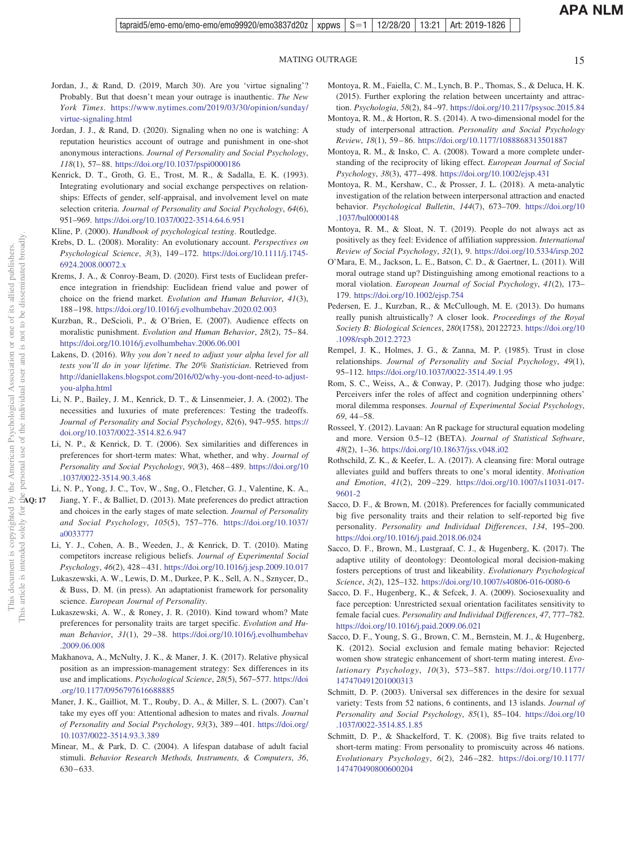- <span id="page-14-0"></span>Jordan, J., & Rand, D. (2019, March 30). Are you 'virtue signaling'? Probably. But that doesn't mean your outrage is inauthentic. *The New York Times*. [https://www.nytimes.com/2019/03/30/opinion/sunday/](https://www.nytimes.com/2019/03/30/opinion/sunday/virtue-signaling.html) [virtue-signaling.html](https://www.nytimes.com/2019/03/30/opinion/sunday/virtue-signaling.html)
- <span id="page-14-1"></span>Jordan, J. J., & Rand, D. (2020). Signaling when no one is watching: A reputation heuristics account of outrage and punishment in one-shot anonymous interactions. *Journal of Personality and Social Psychology*, *118*(1), 57– 88. <https://doi.org/10.1037/pspi0000186>
- <span id="page-14-11"></span>Kenrick, D. T., Groth, G. E., Trost, M. R., & Sadalla, E. K. (1993). Integrating evolutionary and social exchange perspectives on relationships: Effects of gender, self-appraisal, and involvement level on mate selection criteria. *Journal of Personality and Social Psychology*, *64*(6), 951–969. <https://doi.org/10.1037/0022-3514.64.6.951>
- <span id="page-14-25"></span>Kline, P. (2000). *Handbook of psychological testing*. Routledge.
- <span id="page-14-9"></span>Krebs, D. L. (2008). Morality: An evolutionary account. *Perspectives on Psychological Science*, *3*(3), 149 –172. [https://doi.org/10.1111/j.1745-](https://doi.org/10.1111/j.1745-6924.2008.00072.x) [6924.2008.00072.x](https://doi.org/10.1111/j.1745-6924.2008.00072.x)
- <span id="page-14-33"></span>Krems, J. A., & Conroy-Beam, D. (2020). First tests of Euclidean preference integration in friendship: Euclidean friend value and power of choice on the friend market. *Evolution and Human Behavior*, *41*(3), 188 –198. <https://doi.org/10.1016/j.evolhumbehav.2020.02.003>
- <span id="page-14-8"></span>Kurzban, R., DeScioli, P., & O'Brien, E. (2007). Audience effects on moralistic punishment. *Evolution and Human Behavior*, *28*(2), 75– 84. <https://doi.org/10.1016/j.evolhumbehav.2006.06.001>
- <span id="page-14-18"></span>Lakens, D. (2016). *Why you don't need to adjust your alpha level for all tests you'll do in your lifetime. The 20% Statistician*. Retrieved from [http://daniellakens.blogspot.com/2016/02/why-you-dont-need-to-adjust](http://daniellakens.blogspot.com/2016/02/why-you-dont-need-to-adjust-you-alpha.html)[you-alpha.html](http://daniellakens.blogspot.com/2016/02/why-you-dont-need-to-adjust-you-alpha.html)
- <span id="page-14-2"></span>Li, N. P., Bailey, J. M., Kenrick, D. T., & Linsenmeier, J. A. (2002). The necessities and luxuries of mate preferences: Testing the tradeoffs. *Journal of Personality and Social Psychology*, *82*(6), 947–955. [https://](https://doi.org/10.1037/0022-3514.82.6.947) [doi.org/10.1037/0022-3514.82.6.947](https://doi.org/10.1037/0022-3514.82.6.947)
- <span id="page-14-12"></span>Li, N. P., & Kenrick, D. T. (2006). Sex similarities and differences in preferences for short-term mates: What, whether, and why. *Journal of Personality and Social Psychology*, *90*(3), 468 – 489. [https://doi.org/10](https://doi.org/10.1037/0022-3514.90.3.468) [.1037/0022-3514.90.3.468](https://doi.org/10.1037/0022-3514.90.3.468)
- <span id="page-14-3"></span>Li, N. P., Yong, J. C., Tov, W., Sng, O., Fletcher, G. J., Valentine, K. A.,
- Jiang, Y. F., & Balliet, D. (2013). Mate preferences do predict attraction and choices in the early stages of mate selection. *Journal of Personality and Social Psychology*, *105*(5), 757–776. [https://doi.org/10.1037/](https://doi.org/10.1037/a0033777) [a0033777](https://doi.org/10.1037/a0033777)
- <span id="page-14-6"></span>Li, Y. J., Cohen, A. B., Weeden, J., & Kenrick, D. T. (2010). Mating competitors increase religious beliefs. *Journal of Experimental Social Psychology*, *46*(2), 428 – 431. <https://doi.org/10.1016/j.jesp.2009.10.017>
- <span id="page-14-30"></span>Lukaszewski, A. W., Lewis, D. M., Durkee, P. K., Sell, A. N., Sznycer, D., & Buss, D. M. (in press). An adaptationist framework for personality science. *European Journal of Personality*.
- <span id="page-14-4"></span>Lukaszewski, A. W., & Roney, J. R. (2010). Kind toward whom? Mate preferences for personality traits are target specific. *Evolution and Human Behavior*, *31*(1), 29 –38. [https://doi.org/10.1016/j.evolhumbehav](https://doi.org/10.1016/j.evolhumbehav.2009.06.008) [.2009.06.008](https://doi.org/10.1016/j.evolhumbehav.2009.06.008)
- <span id="page-14-7"></span>Makhanova, A., McNulty, J. K., & Maner, J. K. (2017). Relative physical position as an impression-management strategy: Sex differences in its use and implications. *Psychological Science*, *28*(5), 567–577. [https://doi](https://doi.org/10.1177/0956797616688885) [.org/10.1177/0956797616688885](https://doi.org/10.1177/0956797616688885)
- <span id="page-14-19"></span>Maner, J. K., Gailliot, M. T., Rouby, D. A., & Miller, S. L. (2007). Can't take my eyes off you: Attentional adhesion to mates and rivals. *Journal of Personality and Social Psychology*, *93*(3), 389 – 401. [https://doi.org/](https://doi.org/10.1037/0022-3514.93.3.389) [10.1037/0022-3514.93.3.389](https://doi.org/10.1037/0022-3514.93.3.389)
- <span id="page-14-15"></span>Minear, M., & Park, D. C. (2004). A lifespan database of adult facial stimuli. *Behavior Research Methods, Instruments, & Computers*, *36*, 630 – 633.
- <span id="page-14-24"></span>Montoya, R. M., Faiella, C. M., Lynch, B. P., Thomas, S., & Deluca, H. K. (2015). Further exploring the relation between uncertainty and attraction. *Psychologia*, *58*(2), 84 –97. <https://doi.org/10.2117/psysoc.2015.84>
- <span id="page-14-28"></span>Montoya, R. M., & Horton, R. S. (2014). A two-dimensional model for the study of interpersonal attraction. *Personality and Social Psychology Review*, *18*(1), 59 – 86. <https://doi.org/10.1177/1088868313501887>
- <span id="page-14-22"></span>Montoya, R. M., & Insko, C. A. (2008). Toward a more complete understanding of the reciprocity of liking effect. *European Journal of Social Psychology*, *38*(3), 477– 498. <https://doi.org/10.1002/ejsp.431>
- <span id="page-14-17"></span>Montoya, R. M., Kershaw, C., & Prosser, J. L. (2018). A meta-analytic investigation of the relation between interpersonal attraction and enacted behavior. *Psychological Bulletin*, *144*(7), 673–709. [https://doi.org/10](https://doi.org/10.1037/bul0000148) [.1037/bul0000148](https://doi.org/10.1037/bul0000148)
- <span id="page-14-29"></span>Montoya, R. M., & Sloat, N. T. (2019). People do not always act as positively as they feel: Evidence of affiliation suppression. *International Review of Social Psychology*, *32*(1), 9. <https://doi.org/10.5334/irsp.202>
- <span id="page-14-16"></span>O'Mara, E. M., Jackson, L. E., Batson, C. D., & Gaertner, L. (2011). Will moral outrage stand up? Distinguishing among emotional reactions to a moral violation. *European Journal of Social Psychology*, *41*(2), 173– 179. <https://doi.org/10.1002/ejsp.754>
- <span id="page-14-10"></span>Pedersen, E. J., Kurzban, R., & McCullough, M. E. (2013). Do humans really punish altruistically? A closer look. *Proceedings of the Royal Society B: Biological Sciences*, *280*(1758), 20122723. [https://doi.org/10](https://doi.org/10.1098/rspb.2012.2723) [.1098/rspb.2012.2723](https://doi.org/10.1098/rspb.2012.2723)
- <span id="page-14-26"></span>Rempel, J. K., Holmes, J. G., & Zanna, M. P. (1985). Trust in close relationships. *Journal of Personality and Social Psychology*, *49*(1), 95–112. <https://doi.org/10.1037/0022-3514.49.1.95>
- <span id="page-14-13"></span>Rom, S. C., Weiss, A., & Conway, P. (2017). Judging those who judge: Perceivers infer the roles of affect and cognition underpinning others' moral dilemma responses. *Journal of Experimental Social Psychology*, *69*, 44 –58.
- <span id="page-14-27"></span>Rosseel, Y. (2012). Lavaan: An R package for structural equation modeling and more. Version 0.5–12 (BETA). *Journal of Statistical Software*, *48*(2), 1–36. <https://doi.org/10.18637/jss.v048.i02>
- <span id="page-14-5"></span>Rothschild, Z. K., & Keefer, L. A. (2017). A cleansing fire: Moral outrage alleviates guild and buffers threats to one's moral identity. *Motivation and Emotion*, *41*(2), 209 –229. [https://doi.org/10.1007/s11031-017-](https://doi.org/10.1007/s11031-017-9601-2) [9601-2](https://doi.org/10.1007/s11031-017-9601-2)
- <span id="page-14-31"></span>Sacco, D. F., & Brown, M. (2018). Preferences for facially communicated big five personality traits and their relation to self-reported big five personality. *Personality and Individual Differences*, *134*, 195–200. <https://doi.org/10.1016/j.paid.2018.06.024>
- <span id="page-14-14"></span>Sacco, D. F., Brown, M., Lustgraaf, C. J., & Hugenberg, K. (2017). The adaptive utility of deontology: Deontological moral decision-making fosters perceptions of trust and likeability. *Evolutionary Psychological Science*, *3*(2), 125–132. <https://doi.org/10.1007/s40806-016-0080-6>
- <span id="page-14-20"></span>Sacco, D. F., Hugenberg, K., & Sefcek, J. A. (2009). Sociosexuality and face perception: Unrestricted sexual orientation facilitates sensitivity to female facial cues. *Personality and Individual Differences*, *47*, 777–782. <https://doi.org/10.1016/j.paid.2009.06.021>
- <span id="page-14-32"></span>Sacco, D. F., Young, S. G., Brown, C. M., Bernstein, M. J., & Hugenberg, K. (2012). Social exclusion and female mating behavior: Rejected women show strategic enhancement of short-term mating interest. *Evolutionary Psychology*, *10*(3), 573–587. [https://doi.org/10.1177/](https://doi.org/10.1177/147470491201000313) [147470491201000313](https://doi.org/10.1177/147470491201000313)
- <span id="page-14-21"></span>Schmitt, D. P. (2003). Universal sex differences in the desire for sexual variety: Tests from 52 nations, 6 continents, and 13 islands. *Journal of Personality and Social Psychology*, *85*(1), 85–104. [https://doi.org/10](https://doi.org/10.1037/0022-3514.85.1.85) [.1037/0022-3514.85.1.85](https://doi.org/10.1037/0022-3514.85.1.85)
- <span id="page-14-23"></span>Schmitt, D. P., & Shackelford, T. K. (2008). Big five traits related to short-term mating: From personality to promiscuity across 46 nations. *Evolutionary Psychology*, *6*(2), 246 –282. [https://doi.org/10.1177/](https://doi.org/10.1177/147470490800600204) [147470490800600204](https://doi.org/10.1177/147470490800600204)